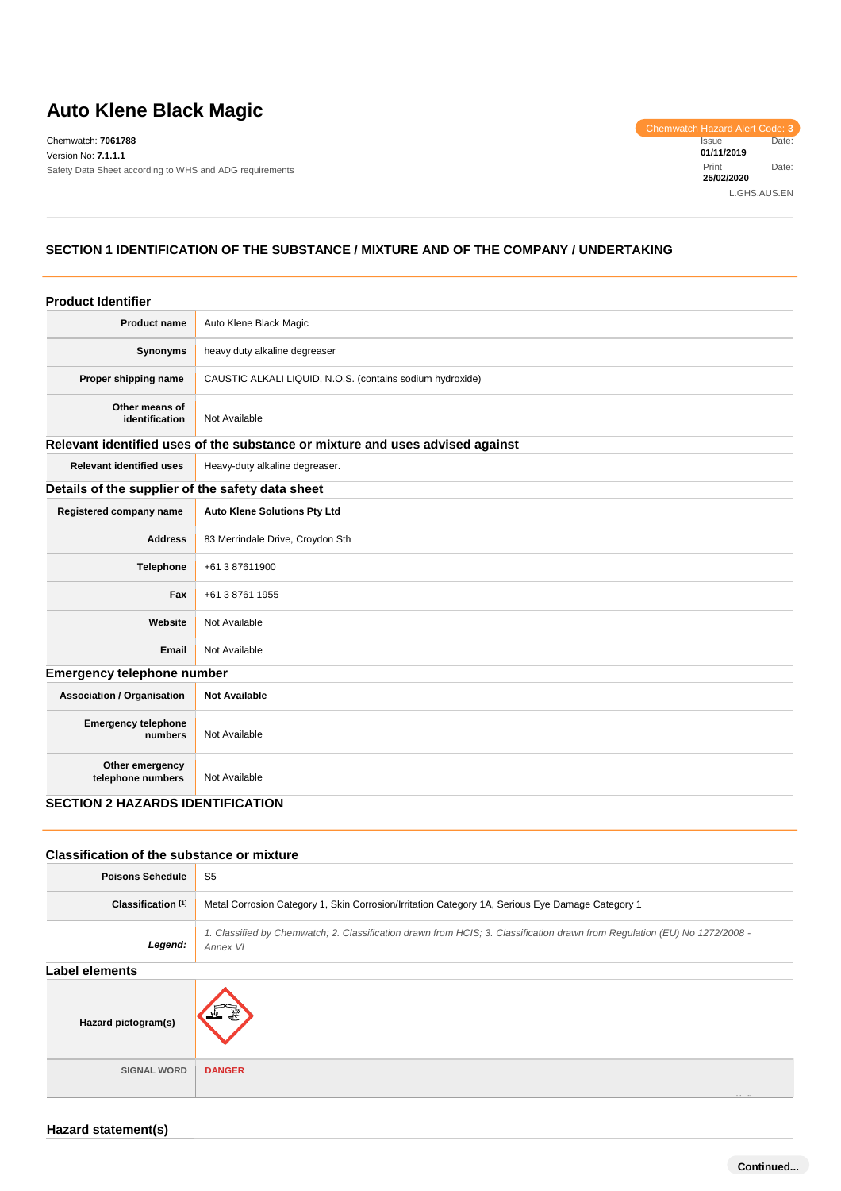# **Auto Klene Black Magic**

Chemwatch: **7061788** Version No: **7.1.1.1** Safety Data Sheet according to WHS and ADG requirements Chemwatch Hazard Alert Code: **3** Issue Date: **01/11/2019** Print Date: **25/02/2020** L.GHS.AUS.EN

## **SECTION 1 IDENTIFICATION OF THE SUBSTANCE / MIXTURE AND OF THE COMPANY / UNDERTAKING**

| <b>Product Identifier</b>                        |                                                                               |
|--------------------------------------------------|-------------------------------------------------------------------------------|
| <b>Product name</b>                              | Auto Klene Black Magic                                                        |
| Synonyms                                         | heavy duty alkaline degreaser                                                 |
| Proper shipping name                             | CAUSTIC ALKALI LIQUID, N.O.S. (contains sodium hydroxide)                     |
| Other means of<br>identification                 | Not Available                                                                 |
|                                                  | Relevant identified uses of the substance or mixture and uses advised against |
| <b>Relevant identified uses</b>                  | Heavy-duty alkaline degreaser.                                                |
| Details of the supplier of the safety data sheet |                                                                               |
| Registered company name                          | <b>Auto Klene Solutions Pty Ltd</b>                                           |
| <b>Address</b>                                   | 83 Merrindale Drive, Croydon Sth                                              |
| <b>Telephone</b>                                 | +61 3 87611900                                                                |
| Fax                                              | +61 3 8761 1955                                                               |
| Website                                          | Not Available                                                                 |
| <b>Email</b>                                     | Not Available                                                                 |
| <b>Emergency telephone number</b>                |                                                                               |
| <b>Association / Organisation</b>                | <b>Not Available</b>                                                          |
| <b>Emergency telephone</b><br>numbers            | Not Available                                                                 |
| Other emergency<br>telephone numbers             | Not Available                                                                 |
| <b>SECTION 2 HAZARDS IDENTIFICATION</b>          |                                                                               |

#### **Classification of the substance or mixture**

| <b>Poisons Schedule</b>       | S <sub>5</sub>                                                                                                                         |  |  |  |
|-------------------------------|----------------------------------------------------------------------------------------------------------------------------------------|--|--|--|
| Classification <sup>[1]</sup> | Metal Corrosion Category 1, Skin Corrosion/Irritation Category 1A, Serious Eye Damage Category 1                                       |  |  |  |
| Legend:                       | 1. Classified by Chemwatch; 2. Classification drawn from HCIS; 3. Classification drawn from Regulation (EU) No 1272/2008 -<br>Annex VI |  |  |  |
| Label elements                |                                                                                                                                        |  |  |  |
| Hazard pictogram(s)           |                                                                                                                                        |  |  |  |
| <b>SIGNAL WORD</b>            | <b>DANGER</b>                                                                                                                          |  |  |  |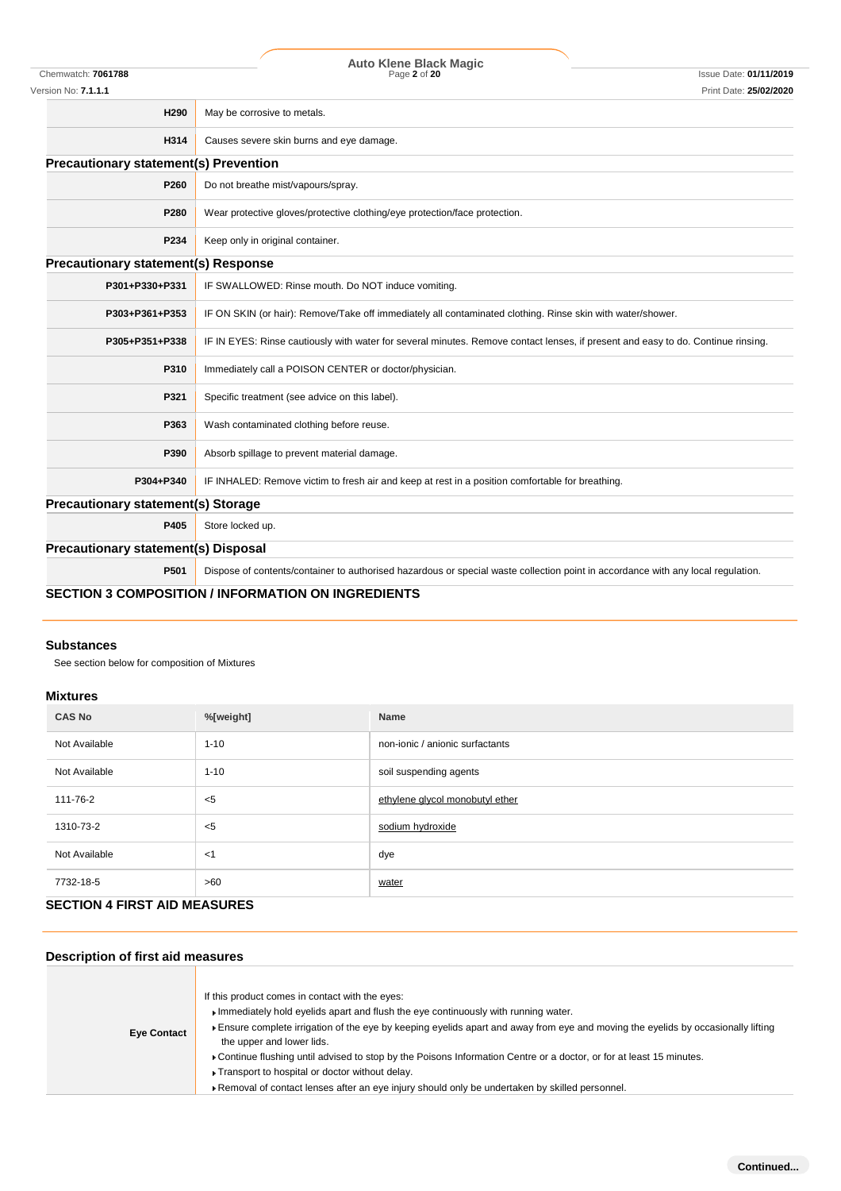|                                              | <b>Auto Klene Black Magic</b>                                                                                                    |                               |
|----------------------------------------------|----------------------------------------------------------------------------------------------------------------------------------|-------------------------------|
| Chemwatch: 7061788                           | Page 2 of 20                                                                                                                     | <b>Issue Date: 01/11/2019</b> |
| Version No: 7.1.1.1                          |                                                                                                                                  | Print Date: 25/02/2020        |
| H290                                         | May be corrosive to metals.                                                                                                      |                               |
| H314                                         | Causes severe skin burns and eye damage.                                                                                         |                               |
| <b>Precautionary statement(s) Prevention</b> |                                                                                                                                  |                               |
| P260                                         | Do not breathe mist/vapours/spray.                                                                                               |                               |
| P280                                         | Wear protective gloves/protective clothing/eye protection/face protection.                                                       |                               |
| P234                                         | Keep only in original container.                                                                                                 |                               |
| <b>Precautionary statement(s) Response</b>   |                                                                                                                                  |                               |
| P301+P330+P331                               | IF SWALLOWED: Rinse mouth. Do NOT induce vomiting.                                                                               |                               |
| P303+P361+P353                               | IF ON SKIN (or hair): Remove/Take off immediately all contaminated clothing. Rinse skin with water/shower.                       |                               |
| P305+P351+P338                               | IF IN EYES: Rinse cautiously with water for several minutes. Remove contact lenses, if present and easy to do. Continue rinsing. |                               |
| P310                                         | Immediately call a POISON CENTER or doctor/physician.                                                                            |                               |
| P321                                         | Specific treatment (see advice on this label).                                                                                   |                               |
| P363                                         | Wash contaminated clothing before reuse.                                                                                         |                               |
| P390                                         | Absorb spillage to prevent material damage.                                                                                      |                               |
| P304+P340                                    | IF INHALED: Remove victim to fresh air and keep at rest in a position comfortable for breathing.                                 |                               |
| <b>Precautionary statement(s) Storage</b>    |                                                                                                                                  |                               |
| P405                                         | Store locked up.                                                                                                                 |                               |
| <b>Precautionary statement(s) Disposal</b>   |                                                                                                                                  |                               |
| P501                                         | Dispose of contents/container to authorised hazardous or special waste collection point in accordance with any local regulation. |                               |
|                                              | <b>CECTION 2 COMBOCITION / INFORMATION ON INCREDIENTS</b>                                                                        |                               |

#### **SECTION 3 COMPOSITION / INFORMATION ON INGREDIENTS**

### **Substances**

See section below for composition of Mixtures

### **Mixtures**

| <b>CAS No</b> | %[weight] | <b>Name</b>                     |  |  |  |
|---------------|-----------|---------------------------------|--|--|--|
| Not Available | $1 - 10$  | non-ionic / anionic surfactants |  |  |  |
| Not Available | $1 - 10$  | soil suspending agents          |  |  |  |
| 111-76-2      | $<$ 5     | ethylene glycol monobutyl ether |  |  |  |
| 1310-73-2     | $<$ 5     | sodium hydroxide                |  |  |  |
| Not Available | $<$ 1     | dye                             |  |  |  |
| 7732-18-5     | >60       | water                           |  |  |  |

# **SECTION 4 FIRST AID MEASURES**

# **Description of first aid measures**

Ħ

| <b>Eye Contact</b> | If this product comes in contact with the eyes:<br>Immediately hold eyelids apart and flush the eye continuously with running water.<br>Ensure complete irrigation of the eye by keeping eyelids apart and away from eye and moving the eyelids by occasionally lifting<br>the upper and lower lids.<br>► Continue flushing until advised to stop by the Poisons Information Centre or a doctor, or for at least 15 minutes.<br>► Transport to hospital or doctor without delay.<br>Removal of contact lenses after an eye injury should only be undertaken by skilled personnel. |
|--------------------|-----------------------------------------------------------------------------------------------------------------------------------------------------------------------------------------------------------------------------------------------------------------------------------------------------------------------------------------------------------------------------------------------------------------------------------------------------------------------------------------------------------------------------------------------------------------------------------|
|--------------------|-----------------------------------------------------------------------------------------------------------------------------------------------------------------------------------------------------------------------------------------------------------------------------------------------------------------------------------------------------------------------------------------------------------------------------------------------------------------------------------------------------------------------------------------------------------------------------------|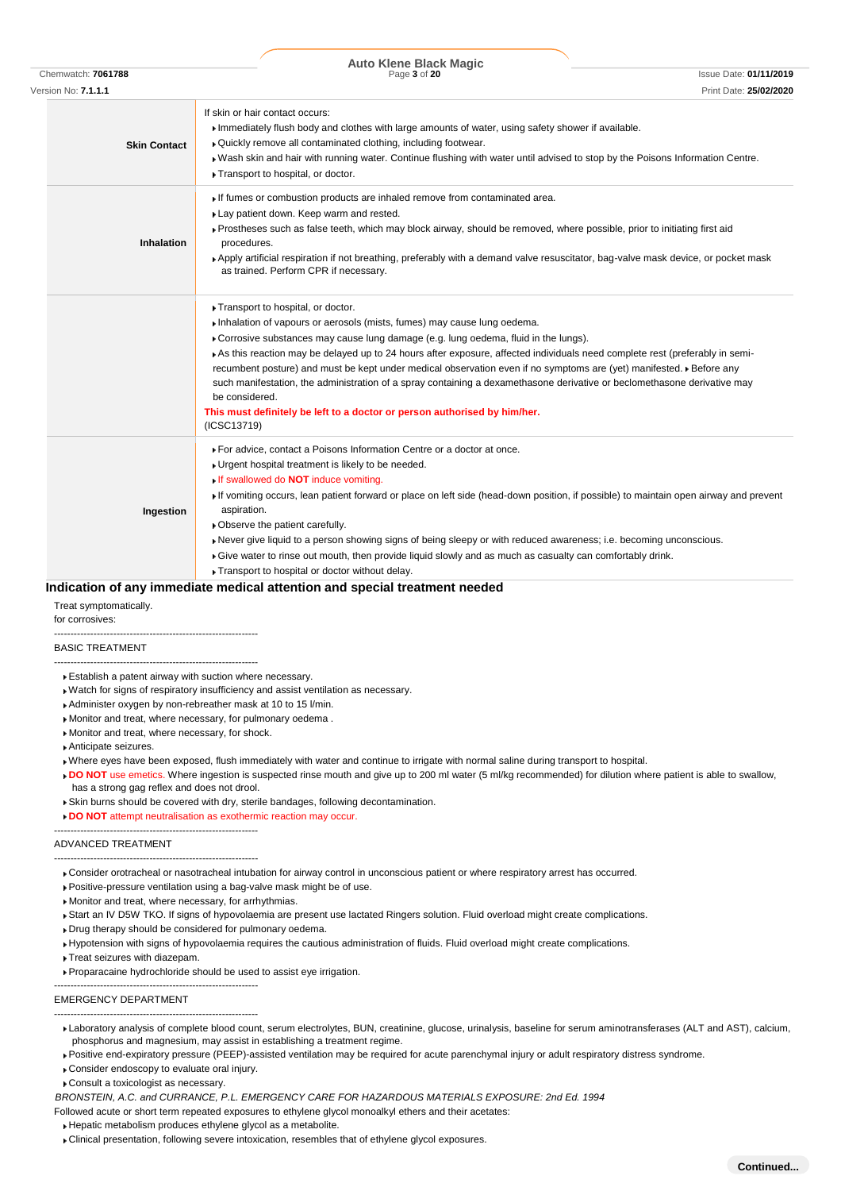|                            | <b>Auto Klene Black Magic</b>                                                                                                                                                                                                                                                                                                                                                                                                                                                                                                                                                                                                                                                                         |                               |
|----------------------------|-------------------------------------------------------------------------------------------------------------------------------------------------------------------------------------------------------------------------------------------------------------------------------------------------------------------------------------------------------------------------------------------------------------------------------------------------------------------------------------------------------------------------------------------------------------------------------------------------------------------------------------------------------------------------------------------------------|-------------------------------|
| Chemwatch: 7061788         | Page 3 of 20                                                                                                                                                                                                                                                                                                                                                                                                                                                                                                                                                                                                                                                                                          | <b>Issue Date: 01/11/2019</b> |
| Version No: <b>7.1.1.1</b> |                                                                                                                                                                                                                                                                                                                                                                                                                                                                                                                                                                                                                                                                                                       | Print Date: 25/02/2020        |
| <b>Skin Contact</b>        | If skin or hair contact occurs:<br>Immediately flush body and clothes with large amounts of water, using safety shower if available.<br>. Quickly remove all contaminated clothing, including footwear.<br>. Wash skin and hair with running water. Continue flushing with water until advised to stop by the Poisons Information Centre.<br>Transport to hospital, or doctor.                                                                                                                                                                                                                                                                                                                        |                               |
| <b>Inhalation</b>          | If fumes or combustion products are inhaled remove from contaminated area.<br>Lay patient down. Keep warm and rested.<br>Prostheses such as false teeth, which may block airway, should be removed, where possible, prior to initiating first aid<br>procedures.<br>▶ Apply artificial respiration if not breathing, preferably with a demand valve resuscitator, bag-valve mask device, or pocket mask<br>as trained. Perform CPR if necessary.                                                                                                                                                                                                                                                      |                               |
|                            | Transport to hospital, or doctor.<br>Inhalation of vapours or aerosols (mists, fumes) may cause lung oedema.<br>► Corrosive substances may cause lung damage (e.g. lung oedema, fluid in the lungs).<br>As this reaction may be delayed up to 24 hours after exposure, affected individuals need complete rest (preferably in semi-<br>recumbent posture) and must be kept under medical observation even if no symptoms are (yet) manifested. • Before any<br>such manifestation, the administration of a spray containing a dexamethasone derivative or beclomethasone derivative may<br>be considered.<br>This must definitely be left to a doctor or person authorised by him/her.<br>(ICSC13719) |                               |
| Ingestion                  | ▶ For advice, contact a Poisons Information Centre or a doctor at once.<br>• Urgent hospital treatment is likely to be needed.<br>If swallowed do NOT induce vomiting.<br>If vomiting occurs, lean patient forward or place on left side (head-down position, if possible) to maintain open airway and prevent<br>aspiration.<br>• Observe the patient carefully.<br>▶ Never give liquid to a person showing signs of being sleepy or with reduced awareness; i.e. becoming unconscious.<br>Give water to rinse out mouth, then provide liquid slowly and as much as casualty can comfortably drink.                                                                                                  |                               |
|                            | Transport to hospital or doctor without delay.<br>Indication of any immediate medical attention and special treatment needed                                                                                                                                                                                                                                                                                                                                                                                                                                                                                                                                                                          |                               |

#### **Indication of any immediate medical attention and special treatment needed**

Treat symptomatically.

for corrosives:

-------------------------------------------------------------- BASIC TREATMENT

- -------------------------------------------------------------- Establish a patent airway with suction where necessary.
- Watch for signs of respiratory insufficiency and assist ventilation as necessary.
- Administer oxygen by non-rebreather mask at 10 to 15 l/min.
- Monitor and treat, where necessary, for pulmonary oedema .
- Monitor and treat, where necessary, for shock.

--------------------------------------------------------------

- Anticipate seizures.
- Where eyes have been exposed, flush immediately with water and continue to irrigate with normal saline during transport to hospital.
- DO NOT use emetics. Where ingestion is suspected rinse mouth and give up to 200 ml water (5 ml/kg recommended) for dilution where patient is able to swallow, has a strong gag reflex and does not drool.
- Skin burns should be covered with dry, sterile bandages, following decontamination.

**DO NOT** attempt neutralisation as exothermic reaction may occur.

#### ADVANCED TREATMENT

- -------------------------------------------------------------- Consider orotracheal or nasotracheal intubation for airway control in unconscious patient or where respiratory arrest has occurred.
- Positive-pressure ventilation using a bag-valve mask might be of use.
- Monitor and treat, where necessary, for arrhythmias.
- Start an IV D5W TKO. If signs of hypovolaemia are present use lactated Ringers solution. Fluid overload might create complications.
- Drug therapy should be considered for pulmonary oedema.
- Hypotension with signs of hypovolaemia requires the cautious administration of fluids. Fluid overload might create complications.
- Treat seizures with diazepam.
- Proparacaine hydrochloride should be used to assist eye irrigation.

#### EMERGENCY DEPARTMENT

- Laboratory analysis of complete blood count, serum electrolytes, BUN, creatinine, glucose, urinalysis, baseline for serum aminotransferases (ALT and AST), calcium, phosphorus and magnesium, may assist in establishing a treatment regime.
- Positive end-expiratory pressure (PEEP)-assisted ventilation may be required for acute parenchymal injury or adult respiratory distress syndrome.
- ▶ Consider endoscopy to evaluate oral injury.

--------------------------------------------------------------

--------------------------------------------------------------

Consult a toxicologist as necessary.

*BRONSTEIN, A.C. and CURRANCE, P.L. EMERGENCY CARE FOR HAZARDOUS MATERIALS EXPOSURE: 2nd Ed. 1994*

- Followed acute or short term repeated exposures to ethylene glycol monoalkyl ethers and their acetates:
- Hepatic metabolism produces ethylene glycol as a metabolite.
- Clinical presentation, following severe intoxication, resembles that of ethylene glycol exposures.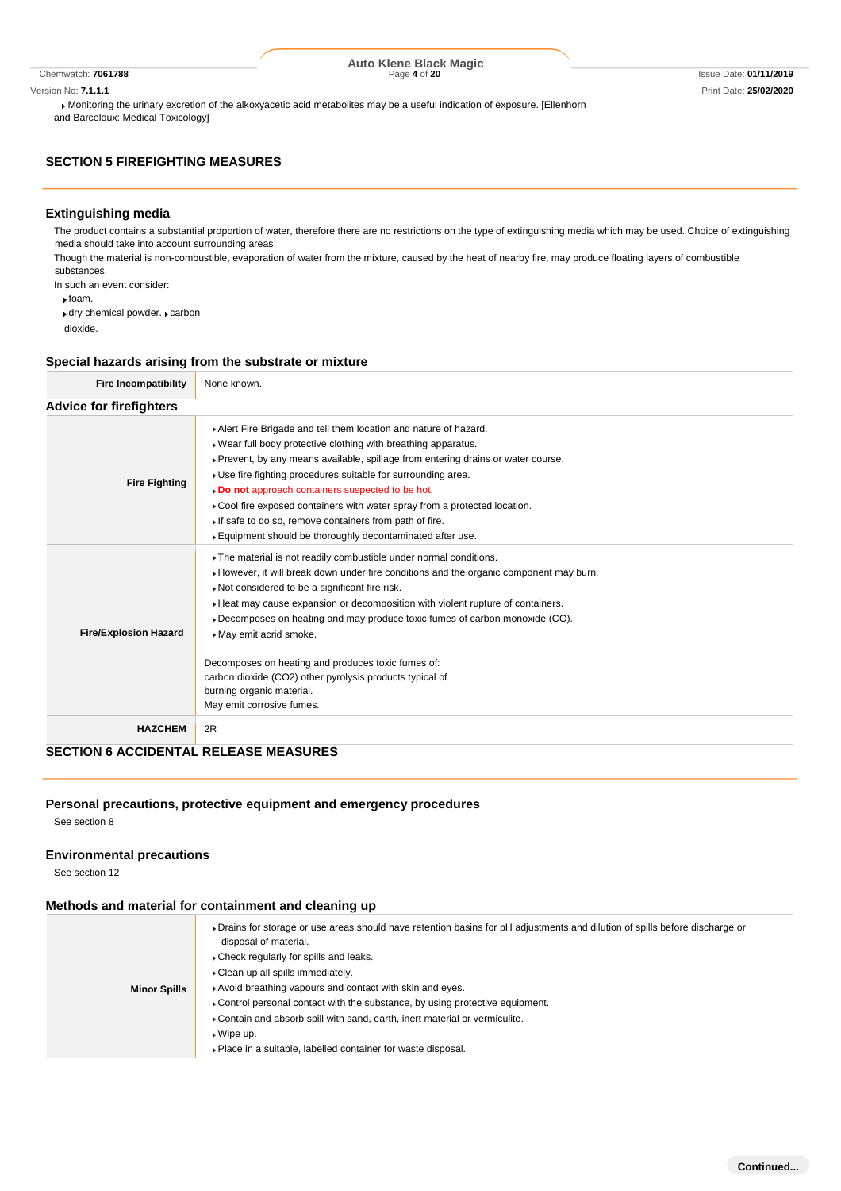Monitoring the urinary excretion of the alkoxyacetic acid metabolites may be a useful indication of exposure. [Ellenhorn and Barceloux: Medical Toxicology]

#### **SECTION 5 FIREFIGHTING MEASURES**

#### **Extinguishing media**

The product contains a substantial proportion of water, therefore there are no restrictions on the type of extinguishing media which may be used. Choice of extinguishing media should take into account surrounding areas.

Though the material is non-combustible, evaporation of water from the mixture, caused by the heat of nearby fire, may produce floating layers of combustible substances.

In such an event consider:

foam.

 $\cdot$  dry chemical powder.  $\cdot$  carbon

dioxide.

#### **Special hazards arising from the substrate or mixture**

| <b>Fire Incompatibility</b>    | None known.                                                                                                                                                                                                                                                                                                                                                                                                                                                                                                                                                                        |
|--------------------------------|------------------------------------------------------------------------------------------------------------------------------------------------------------------------------------------------------------------------------------------------------------------------------------------------------------------------------------------------------------------------------------------------------------------------------------------------------------------------------------------------------------------------------------------------------------------------------------|
| <b>Advice for firefighters</b> |                                                                                                                                                                                                                                                                                                                                                                                                                                                                                                                                                                                    |
| <b>Fire Fighting</b>           | Alert Fire Brigade and tell them location and nature of hazard.<br>. Wear full body protective clothing with breathing apparatus.<br>▶ Prevent, by any means available, spillage from entering drains or water course.<br>. Use fire fighting procedures suitable for surrounding area.<br>. Do not approach containers suspected to be hot.<br>Cool fire exposed containers with water spray from a protected location.<br>If safe to do so, remove containers from path of fire.<br>Equipment should be thoroughly decontaminated after use.                                     |
| <b>Fire/Explosion Hazard</b>   | The material is not readily combustible under normal conditions.<br>► However, it will break down under fire conditions and the organic component may burn.<br>Not considered to be a significant fire risk.<br>Heat may cause expansion or decomposition with violent rupture of containers.<br>▶ Decomposes on heating and may produce toxic fumes of carbon monoxide (CO).<br>May emit acrid smoke.<br>Decomposes on heating and produces toxic fumes of:<br>carbon dioxide (CO2) other pyrolysis products typical of<br>burning organic material.<br>May emit corrosive fumes. |
| <b>HAZCHEM</b>                 | 2R                                                                                                                                                                                                                                                                                                                                                                                                                                                                                                                                                                                 |

### **SECTION 6 ACCIDENTAL RELEASE MEASURES**

#### **Personal precautions, protective equipment and emergency procedures**

See section 8

#### **Environmental precautions**

See section 12

#### **Methods and material for containment and cleaning up**

|                     | • Drains for storage or use areas should have retention basins for pH adjustments and dilution of spills before discharge or<br>disposal of material.<br>► Check regularly for spills and leaks. |
|---------------------|--------------------------------------------------------------------------------------------------------------------------------------------------------------------------------------------------|
| <b>Minor Spills</b> | • Clean up all spills immediately.<br>Avoid breathing vapours and contact with skin and eyes.                                                                                                    |
|                     | ► Control personal contact with the substance, by using protective equipment.                                                                                                                    |
|                     | ▶ Contain and absorb spill with sand, earth, inert material or vermiculite.<br>$\bullet$ Wipe up.                                                                                                |
|                     | Place in a suitable, labelled container for waste disposal.                                                                                                                                      |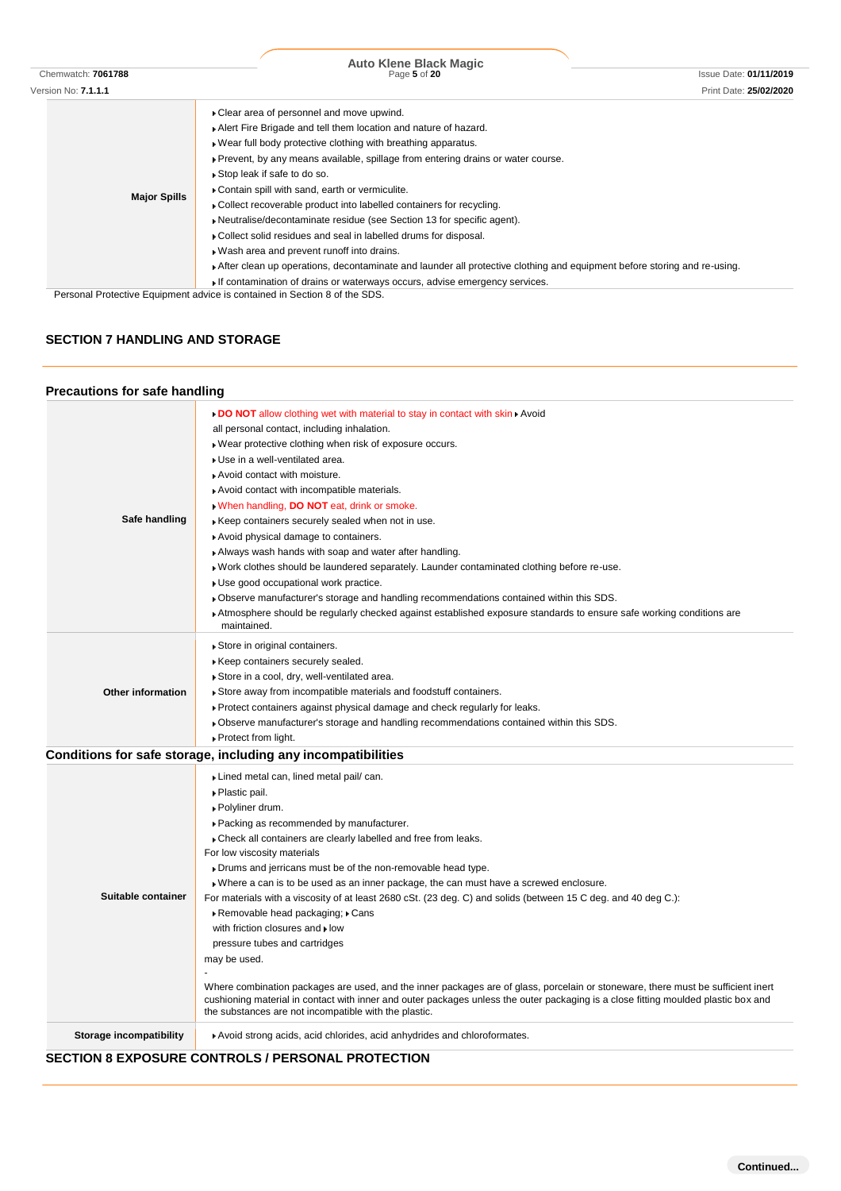|                            | <b>Auto Klene Black Magic</b>                                                                                           |                        |
|----------------------------|-------------------------------------------------------------------------------------------------------------------------|------------------------|
| Chemwatch: 7061788         | Page 5 of 20                                                                                                            | Issue Date: 01/11/2019 |
| Version No: <b>7.1.1.1</b> |                                                                                                                         | Print Date: 25/02/2020 |
|                            | • Clear area of personnel and move upwind.                                                                              |                        |
|                            | Alert Fire Brigade and tell them location and nature of hazard.                                                         |                        |
|                            | . Wear full body protective clothing with breathing apparatus.                                                          |                        |
|                            | ▶ Prevent, by any means available, spillage from entering drains or water course.                                       |                        |
|                            | Stop leak if safe to do so.                                                                                             |                        |
|                            | Contain spill with sand, earth or vermiculite.                                                                          |                        |
| <b>Major Spills</b>        | • Collect recoverable product into labelled containers for recycling.                                                   |                        |
|                            | • Neutralise/decontaminate residue (see Section 13 for specific agent).                                                 |                        |
|                            | ▶ Collect solid residues and seal in labelled drums for disposal.                                                       |                        |
|                            | . Wash area and prevent runoff into drains.                                                                             |                        |
|                            | After clean up operations, decontaminate and launder all protective clothing and equipment before storing and re-using. |                        |
|                            | If contamination of drains or waterways occurs, advise emergency services.                                              |                        |
|                            | Personal Protective Equipment advice is contained in Section 8 of the SDS.                                              |                        |

# **SECTION 7 HANDLING AND STORAGE**

# **Precautions for safe handling**

| Safe handling            | ► DO NOT allow clothing wet with material to stay in contact with skin ► Avoid<br>all personal contact, including inhalation.<br>Wear protective clothing when risk of exposure occurs.<br>Use in a well-ventilated area.<br>Avoid contact with moisture.<br>Avoid contact with incompatible materials.<br>. When handling, DO NOT eat, drink or smoke.<br>Keep containers securely sealed when not in use.<br>Avoid physical damage to containers.<br>Always wash hands with soap and water after handling.<br>▶ Work clothes should be laundered separately. Launder contaminated clothing before re-use.<br>Use good occupational work practice.<br>▶ Observe manufacturer's storage and handling recommendations contained within this SDS.<br>Atmosphere should be regularly checked against established exposure standards to ensure safe working conditions are<br>maintained.                                                                                |
|--------------------------|----------------------------------------------------------------------------------------------------------------------------------------------------------------------------------------------------------------------------------------------------------------------------------------------------------------------------------------------------------------------------------------------------------------------------------------------------------------------------------------------------------------------------------------------------------------------------------------------------------------------------------------------------------------------------------------------------------------------------------------------------------------------------------------------------------------------------------------------------------------------------------------------------------------------------------------------------------------------|
| <b>Other information</b> | Store in original containers.<br>Keep containers securely sealed.<br>Store in a cool, dry, well-ventilated area.<br>Store away from incompatible materials and foodstuff containers.<br>▶ Protect containers against physical damage and check regularly for leaks.<br>▶ Observe manufacturer's storage and handling recommendations contained within this SDS.<br>▶ Protect from light.                                                                                                                                                                                                                                                                                                                                                                                                                                                                                                                                                                             |
|                          | Conditions for safe storage, including any incompatibilities                                                                                                                                                                                                                                                                                                                                                                                                                                                                                                                                                                                                                                                                                                                                                                                                                                                                                                         |
| Suitable container       | Lined metal can, lined metal pail/can.<br>▶ Plastic pail.<br>▶ Polyliner drum.<br>▶ Packing as recommended by manufacturer.<br>Check all containers are clearly labelled and free from leaks.<br>For low viscosity materials<br>Drums and jerricans must be of the non-removable head type.<br>Where a can is to be used as an inner package, the can must have a screwed enclosure.<br>For materials with a viscosity of at least 2680 cSt. (23 deg. C) and solids (between 15 C deg. and 40 deg C.):<br>▶ Removable head packaging; ▶ Cans<br>with friction closures and I low<br>pressure tubes and cartridges<br>may be used.<br>Where combination packages are used, and the inner packages are of glass, porcelain or stoneware, there must be sufficient inert<br>cushioning material in contact with inner and outer packages unless the outer packaging is a close fitting moulded plastic box and<br>the substances are not incompatible with the plastic. |
| Storage incompatibility  | Avoid strong acids, acid chlorides, acid anhydrides and chloroformates.                                                                                                                                                                                                                                                                                                                                                                                                                                                                                                                                                                                                                                                                                                                                                                                                                                                                                              |
|                          |                                                                                                                                                                                                                                                                                                                                                                                                                                                                                                                                                                                                                                                                                                                                                                                                                                                                                                                                                                      |

# **SECTION 8 EXPOSURE CONTROLS / PERSONAL PROTECTION**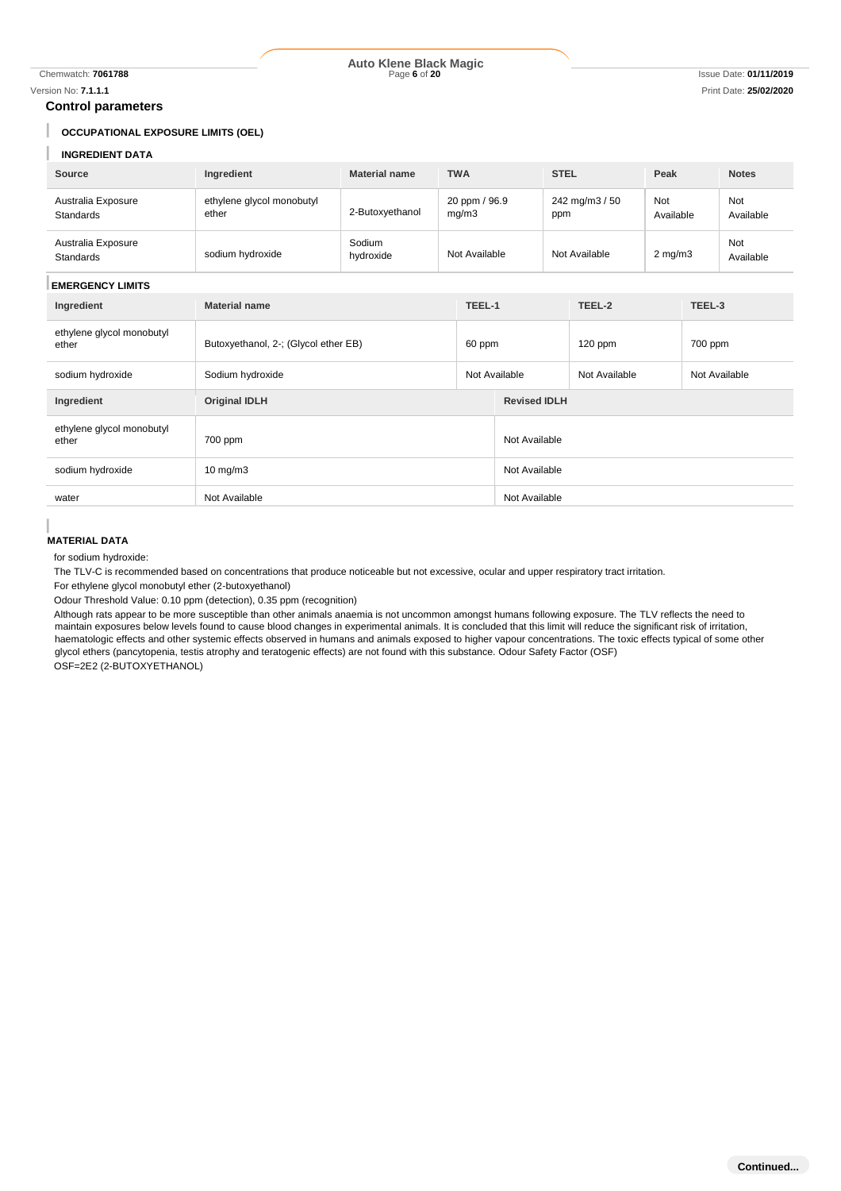I I

#### Chemwatch: **7061788** Page **6** of **20** Issue Date: **01/11/2019 Auto Klene Black Magic**

#### **Control parameters**

### **OCCUPATIONAL EXPOSURE LIMITS (OEL)**

# **INGREDIENT DATA**

| <b>INGREDIENT DATA</b>             |                                      |                      |                        |                                |                       |                  |  |                         |
|------------------------------------|--------------------------------------|----------------------|------------------------|--------------------------------|-----------------------|------------------|--|-------------------------|
| <b>Source</b>                      | Ingredient                           | <b>Material name</b> | <b>TWA</b>             |                                | <b>STEL</b>           | Peak             |  | <b>Notes</b>            |
| Australia Exposure<br>Standards    | ethylene glycol monobutyl<br>ether   | 2-Butoxyethanol      | 20 ppm / 96.9<br>mg/m3 |                                | 242 mg/m3 / 50<br>ppm | Not<br>Available |  | <b>Not</b><br>Available |
| Australia Exposure<br>Standards    | sodium hydroxide                     | Sodium<br>hydroxide  | Not Available          |                                | Not Available         | $2$ mg/m $3$     |  | Not<br>Available        |
| <b>EMERGENCY LIMITS</b>            |                                      |                      |                        |                                |                       |                  |  |                         |
| Ingredient                         | <b>Material name</b>                 |                      | TEEL-1                 | TEEL-2                         |                       | TEEL-3           |  |                         |
| ethylene glycol monobutyl<br>ether | Butoxyethanol, 2-; (Glycol ether EB) |                      |                        | $120$ ppm<br>60 ppm            |                       | 700 ppm          |  |                         |
| sodium hydroxide                   | Sodium hydroxide                     |                      |                        | Not Available<br>Not Available |                       | Not Available    |  |                         |
| Ingredient                         | <b>Original IDLH</b>                 |                      |                        | <b>Revised IDLH</b>            |                       |                  |  |                         |
| ethylene glycol monobutyl<br>ether | 700 ppm                              |                      |                        | Not Available                  |                       |                  |  |                         |
| sodium hydroxide                   | $10 \text{ mg/m}$                    |                      |                        | Not Available                  |                       |                  |  |                         |
| water                              | Not Available                        |                      |                        | Not Available                  |                       |                  |  |                         |

#### **MATERIAL DATA**

for sodium hydroxide:

The TLV-C is recommended based on concentrations that produce noticeable but not excessive, ocular and upper respiratory tract irritation.

For ethylene glycol monobutyl ether (2-butoxyethanol)

Odour Threshold Value: 0.10 ppm (detection), 0.35 ppm (recognition)

Although rats appear to be more susceptible than other animals anaemia is not uncommon amongst humans following exposure. The TLV reflects the need to maintain exposures below levels found to cause blood changes in experimental animals. It is concluded that this limit will reduce the significant risk of irritation, haematologic effects and other systemic effects observed in humans and animals exposed to higher vapour concentrations. The toxic effects typical of some other glycol ethers (pancytopenia, testis atrophy and teratogenic effects) are not found with this substance. Odour Safety Factor (OSF) OSF=2E2 (2-BUTOXYETHANOL)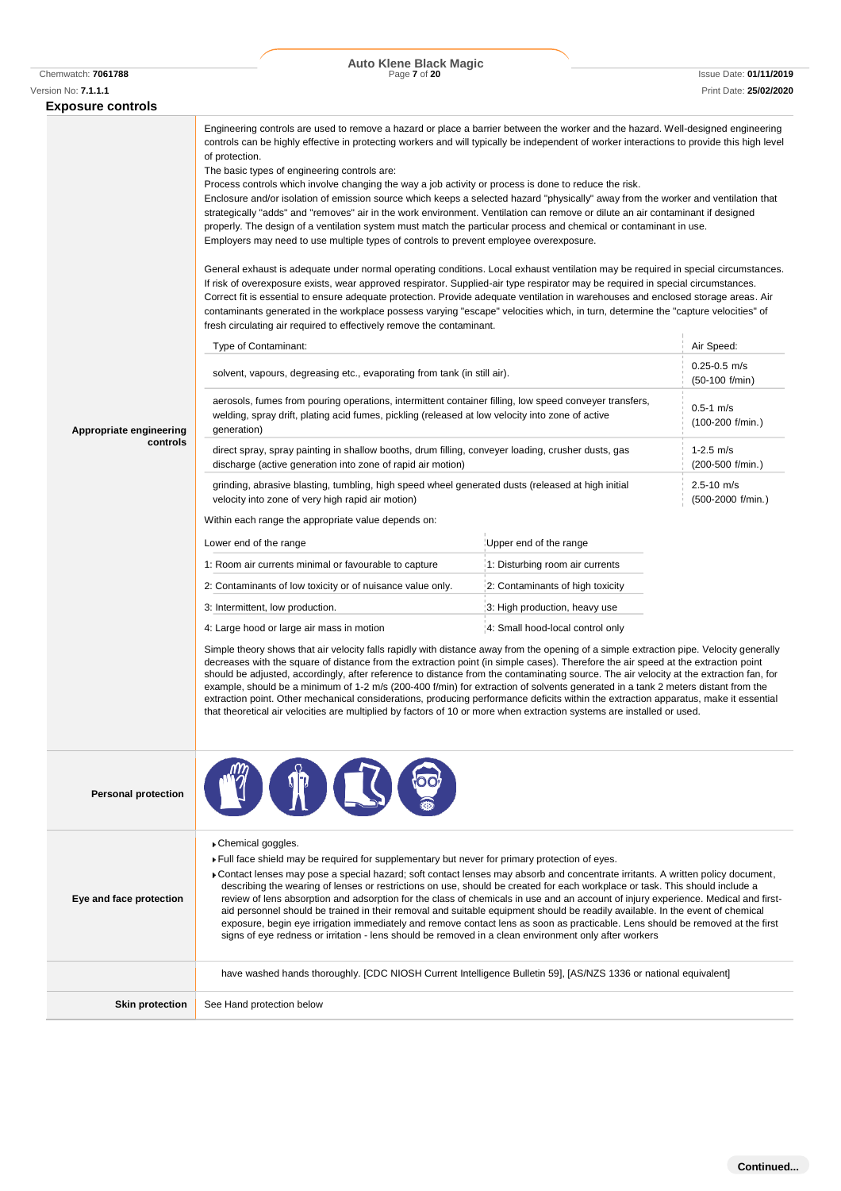| Version No: 7.1.1.1                                 |                                                                                                                                                                                                                                                                                                                                                                                                                                                                                                                                                                                                                                                                                                                                                                                                                                                                                                                                                                                                                                                                                                                                                                                                                                                                                                                                            |                                  | Print Date: 25/02/2020              |  |  |
|-----------------------------------------------------|--------------------------------------------------------------------------------------------------------------------------------------------------------------------------------------------------------------------------------------------------------------------------------------------------------------------------------------------------------------------------------------------------------------------------------------------------------------------------------------------------------------------------------------------------------------------------------------------------------------------------------------------------------------------------------------------------------------------------------------------------------------------------------------------------------------------------------------------------------------------------------------------------------------------------------------------------------------------------------------------------------------------------------------------------------------------------------------------------------------------------------------------------------------------------------------------------------------------------------------------------------------------------------------------------------------------------------------------|----------------------------------|-------------------------------------|--|--|
| <b>Exposure controls</b><br>Appropriate engineering | Engineering controls are used to remove a hazard or place a barrier between the worker and the hazard. Well-designed engineering<br>controls can be highly effective in protecting workers and will typically be independent of worker interactions to provide this high level<br>Enclosure and/or isolation of emission source which keeps a selected hazard "physically" away from the worker and ventilation that<br>strategically "adds" and "removes" air in the work environment. Ventilation can remove or dilute an air contaminant if designed<br>properly. The design of a ventilation system must match the particular process and chemical or contaminant in use.<br>General exhaust is adequate under normal operating conditions. Local exhaust ventilation may be required in special circumstances.<br>If risk of overexposure exists, wear approved respirator. Supplied-air type respirator may be required in special circumstances.<br>Correct fit is essential to ensure adequate protection. Provide adequate ventilation in warehouses and enclosed storage areas. Air<br>contaminants generated in the workplace possess varying "escape" velocities which, in turn, determine the "capture velocities" of<br>Air Speed:<br>$0.25 - 0.5$ m/s<br>(50-100 f/min)<br>$0.5 - 1$ m/s<br>(100-200 f/min.)<br>1-2.5 $m/s$ |                                  |                                     |  |  |
| controls                                            | direct spray, spray painting in shallow booths, drum filling, conveyer loading, crusher dusts, gas<br>discharge (active generation into zone of rapid air motion)                                                                                                                                                                                                                                                                                                                                                                                                                                                                                                                                                                                                                                                                                                                                                                                                                                                                                                                                                                                                                                                                                                                                                                          |                                  | (200-500 f/min.)                    |  |  |
|                                                     | grinding, abrasive blasting, tumbling, high speed wheel generated dusts (released at high initial<br>velocity into zone of very high rapid air motion)                                                                                                                                                                                                                                                                                                                                                                                                                                                                                                                                                                                                                                                                                                                                                                                                                                                                                                                                                                                                                                                                                                                                                                                     |                                  | $2.5 - 10$ m/s<br>(500-2000 f/min.) |  |  |
|                                                     | Within each range the appropriate value depends on:                                                                                                                                                                                                                                                                                                                                                                                                                                                                                                                                                                                                                                                                                                                                                                                                                                                                                                                                                                                                                                                                                                                                                                                                                                                                                        |                                  |                                     |  |  |
|                                                     | Lower end of the range                                                                                                                                                                                                                                                                                                                                                                                                                                                                                                                                                                                                                                                                                                                                                                                                                                                                                                                                                                                                                                                                                                                                                                                                                                                                                                                     | Upper end of the range           |                                     |  |  |
|                                                     | 1: Room air currents minimal or favourable to capture                                                                                                                                                                                                                                                                                                                                                                                                                                                                                                                                                                                                                                                                                                                                                                                                                                                                                                                                                                                                                                                                                                                                                                                                                                                                                      | 1: Disturbing room air currents  |                                     |  |  |
|                                                     | 2: Contaminants of low toxicity or of nuisance value only.                                                                                                                                                                                                                                                                                                                                                                                                                                                                                                                                                                                                                                                                                                                                                                                                                                                                                                                                                                                                                                                                                                                                                                                                                                                                                 | 2: Contaminants of high toxicity |                                     |  |  |
|                                                     | 3: Intermittent, low production.                                                                                                                                                                                                                                                                                                                                                                                                                                                                                                                                                                                                                                                                                                                                                                                                                                                                                                                                                                                                                                                                                                                                                                                                                                                                                                           | 3: High production, heavy use    |                                     |  |  |
|                                                     | 4: Large hood or large air mass in motion                                                                                                                                                                                                                                                                                                                                                                                                                                                                                                                                                                                                                                                                                                                                                                                                                                                                                                                                                                                                                                                                                                                                                                                                                                                                                                  | 4: Small hood-local control only |                                     |  |  |
|                                                     | Simple theory shows that air velocity falls rapidly with distance away from the opening of a simple extraction pipe. Velocity generally<br>decreases with the square of distance from the extraction point (in simple cases). Therefore the air speed at the extraction point<br>should be adjusted, accordingly, after reference to distance from the contaminating source. The air velocity at the extraction fan, for<br>example, should be a minimum of 1-2 m/s (200-400 f/min) for extraction of solvents generated in a tank 2 meters distant from the<br>extraction point. Other mechanical considerations, producing performance deficits within the extraction apparatus, make it essential<br>that theoretical air velocities are multiplied by factors of 10 or more when extraction systems are installed or used.                                                                                                                                                                                                                                                                                                                                                                                                                                                                                                             |                                  |                                     |  |  |
| <b>Personal protection</b>                          |                                                                                                                                                                                                                                                                                                                                                                                                                                                                                                                                                                                                                                                                                                                                                                                                                                                                                                                                                                                                                                                                                                                                                                                                                                                                                                                                            |                                  |                                     |  |  |
| Eye and face protection                             | Chemical goggles.<br>Full face shield may be required for supplementary but never for primary protection of eyes.<br>► Contact lenses may pose a special hazard; soft contact lenses may absorb and concentrate irritants. A written policy document,<br>describing the wearing of lenses or restrictions on use, should be created for each workplace or task. This should include a<br>review of lens absorption and adsorption for the class of chemicals in use and an account of injury experience. Medical and first-<br>aid personnel should be trained in their removal and suitable equipment should be readily available. In the event of chemical<br>exposure, begin eye irrigation immediately and remove contact lens as soon as practicable. Lens should be removed at the first<br>signs of eye redness or irritation - lens should be removed in a clean environment only after workers                                                                                                                                                                                                                                                                                                                                                                                                                                    |                                  |                                     |  |  |
|                                                     | have washed hands thoroughly. [CDC NIOSH Current Intelligence Bulletin 59], [AS/NZS 1336 or national equivalent]                                                                                                                                                                                                                                                                                                                                                                                                                                                                                                                                                                                                                                                                                                                                                                                                                                                                                                                                                                                                                                                                                                                                                                                                                           |                                  |                                     |  |  |
| <b>Skin protection</b>                              | See Hand protection below                                                                                                                                                                                                                                                                                                                                                                                                                                                                                                                                                                                                                                                                                                                                                                                                                                                                                                                                                                                                                                                                                                                                                                                                                                                                                                                  |                                  |                                     |  |  |
|                                                     |                                                                                                                                                                                                                                                                                                                                                                                                                                                                                                                                                                                                                                                                                                                                                                                                                                                                                                                                                                                                                                                                                                                                                                                                                                                                                                                                            |                                  |                                     |  |  |

Chemwatch: **7061788** Page **7** of **20** Issue Date: **01/11/2019 Auto Klene Black Magic**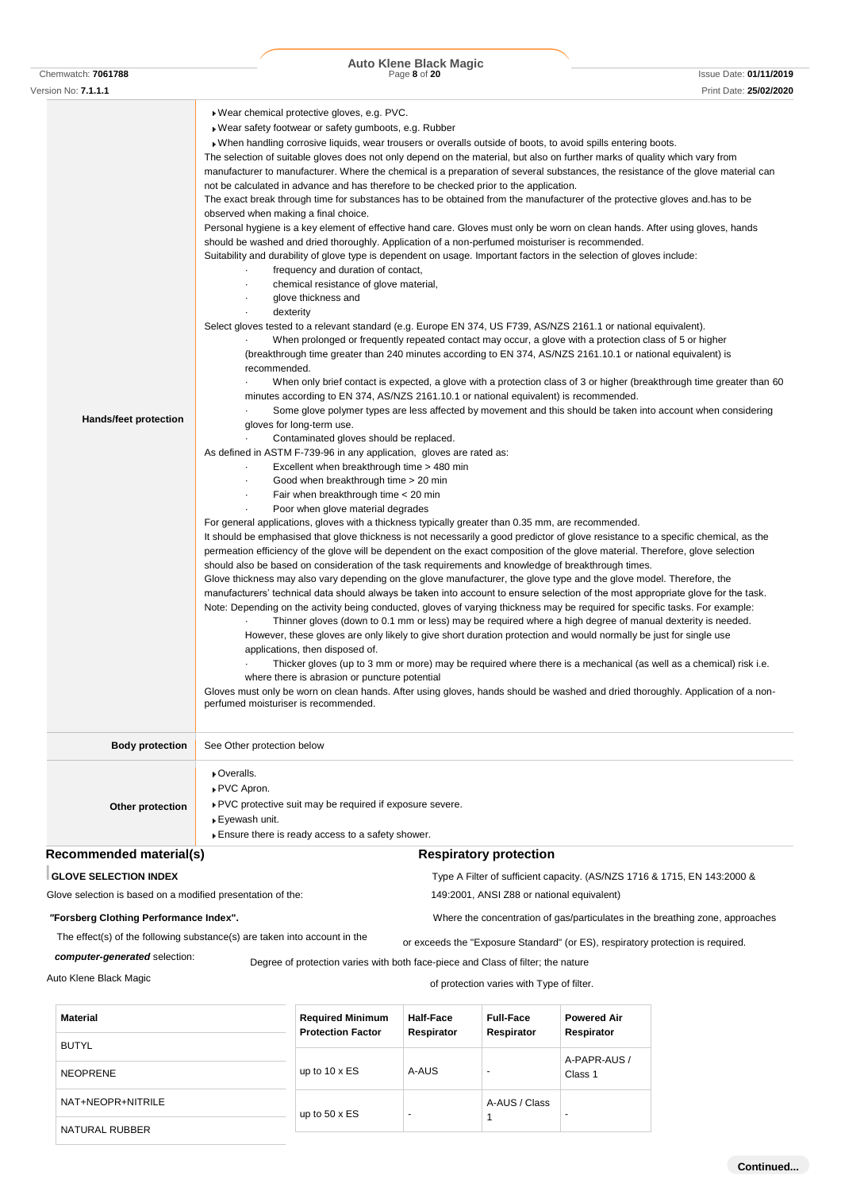|                       | <b>Auto Klene Black Magic</b> |                                        |
|-----------------------|-------------------------------|----------------------------------------|
| Chemwatch:<br>7061788 | Page 8 of 20<br>.             | Date: 01/11/2019<br><i><b>SSUE</b></i> |

| Version No: <b>7.1.1.1</b>                                  | Print Date: 25/02/2020                                                                                                                                                                                                                                                                                                                                                                                                                                                                                                                                                                                                                                                                                                                                                                                                                                                                                                                                                                                                                                                                                                                                                                                                                                                                                                                                                                                                                                                                                                                                                                                                                                                                                                                                                                                                                                                                                                                                                                                                                                                                                                                                                                                                                                                                                                                                                                                                                                                                                                                                                                                                                                                                                                                                                                                                                                                                                                                                                                                                                                                                                                                                                                                                                                                                                                                                                                                                                                                                                                                                                                                                                                                                                                                                                                                                     |
|-------------------------------------------------------------|----------------------------------------------------------------------------------------------------------------------------------------------------------------------------------------------------------------------------------------------------------------------------------------------------------------------------------------------------------------------------------------------------------------------------------------------------------------------------------------------------------------------------------------------------------------------------------------------------------------------------------------------------------------------------------------------------------------------------------------------------------------------------------------------------------------------------------------------------------------------------------------------------------------------------------------------------------------------------------------------------------------------------------------------------------------------------------------------------------------------------------------------------------------------------------------------------------------------------------------------------------------------------------------------------------------------------------------------------------------------------------------------------------------------------------------------------------------------------------------------------------------------------------------------------------------------------------------------------------------------------------------------------------------------------------------------------------------------------------------------------------------------------------------------------------------------------------------------------------------------------------------------------------------------------------------------------------------------------------------------------------------------------------------------------------------------------------------------------------------------------------------------------------------------------------------------------------------------------------------------------------------------------------------------------------------------------------------------------------------------------------------------------------------------------------------------------------------------------------------------------------------------------------------------------------------------------------------------------------------------------------------------------------------------------------------------------------------------------------------------------------------------------------------------------------------------------------------------------------------------------------------------------------------------------------------------------------------------------------------------------------------------------------------------------------------------------------------------------------------------------------------------------------------------------------------------------------------------------------------------------------------------------------------------------------------------------------------------------------------------------------------------------------------------------------------------------------------------------------------------------------------------------------------------------------------------------------------------------------------------------------------------------------------------------------------------------------------------------------------------------------------------------------------------------------------------------|
| Hands/feet protection                                       | ▶ Wear chemical protective gloves, e.g. PVC.<br>▶ Wear safety footwear or safety gumboots, e.g. Rubber<br>• When handling corrosive liquids, wear trousers or overalls outside of boots, to avoid spills entering boots.<br>The selection of suitable gloves does not only depend on the material, but also on further marks of quality which vary from<br>manufacturer to manufacturer. Where the chemical is a preparation of several substances, the resistance of the glove material can<br>not be calculated in advance and has therefore to be checked prior to the application.<br>The exact break through time for substances has to be obtained from the manufacturer of the protective gloves and has to be<br>observed when making a final choice.<br>Personal hygiene is a key element of effective hand care. Gloves must only be worn on clean hands. After using gloves, hands<br>should be washed and dried thoroughly. Application of a non-perfumed moisturiser is recommended.<br>Suitability and durability of glove type is dependent on usage. Important factors in the selection of gloves include:<br>frequency and duration of contact,<br>chemical resistance of glove material,<br>$\bullet$<br>glove thickness and<br>٠<br>dexterity<br>$\bullet$<br>Select gloves tested to a relevant standard (e.g. Europe EN 374, US F739, AS/NZS 2161.1 or national equivalent).<br>When prolonged or frequently repeated contact may occur, a glove with a protection class of 5 or higher<br>(breakthrough time greater than 240 minutes according to EN 374, AS/NZS 2161.10.1 or national equivalent) is<br>recommended.<br>When only brief contact is expected, a glove with a protection class of 3 or higher (breakthrough time greater than 60<br>minutes according to EN 374, AS/NZS 2161.10.1 or national equivalent) is recommended.<br>Some glove polymer types are less affected by movement and this should be taken into account when considering<br>gloves for long-term use.<br>Contaminated gloves should be replaced.<br>As defined in ASTM F-739-96 in any application, gloves are rated as:<br>Excellent when breakthrough time > 480 min<br>٠<br>Good when breakthrough time > 20 min<br>Fair when breakthrough time < 20 min<br>٠<br>Poor when glove material degrades<br>For general applications, gloves with a thickness typically greater than 0.35 mm, are recommended.<br>It should be emphasised that glove thickness is not necessarily a good predictor of glove resistance to a specific chemical, as the<br>permeation efficiency of the glove will be dependent on the exact composition of the glove material. Therefore, glove selection<br>should also be based on consideration of the task requirements and knowledge of breakthrough times.<br>Glove thickness may also vary depending on the glove manufacturer, the glove type and the glove model. Therefore, the<br>manufacturers' technical data should always be taken into account to ensure selection of the most appropriate glove for the task.<br>Note: Depending on the activity being conducted, gloves of varying thickness may be required for specific tasks. For example:<br>Thinner gloves (down to 0.1 mm or less) may be required where a high degree of manual dexterity is needed.<br>However, these gloves are only likely to give short duration protection and would normally be just for single use<br>applications, then disposed of.<br>Thicker gloves (up to 3 mm or more) may be required where there is a mechanical (as well as a chemical) risk i.e.<br>where there is abrasion or puncture potential<br>Gloves must only be worn on clean hands. After using gloves, hands should be washed and dried thoroughly. Application of a non-<br>perfumed moisturiser is recommended. |
| <b>Body protection</b>                                      | See Other protection below                                                                                                                                                                                                                                                                                                                                                                                                                                                                                                                                                                                                                                                                                                                                                                                                                                                                                                                                                                                                                                                                                                                                                                                                                                                                                                                                                                                                                                                                                                                                                                                                                                                                                                                                                                                                                                                                                                                                                                                                                                                                                                                                                                                                                                                                                                                                                                                                                                                                                                                                                                                                                                                                                                                                                                                                                                                                                                                                                                                                                                                                                                                                                                                                                                                                                                                                                                                                                                                                                                                                                                                                                                                                                                                                                                                                 |
| Other protection                                            | ▶ Overalls.<br>▶ PVC Apron.<br>▶ PVC protective suit may be required if exposure severe.<br>▶ Eyewash unit.<br>Ensure there is ready access to a safety shower.                                                                                                                                                                                                                                                                                                                                                                                                                                                                                                                                                                                                                                                                                                                                                                                                                                                                                                                                                                                                                                                                                                                                                                                                                                                                                                                                                                                                                                                                                                                                                                                                                                                                                                                                                                                                                                                                                                                                                                                                                                                                                                                                                                                                                                                                                                                                                                                                                                                                                                                                                                                                                                                                                                                                                                                                                                                                                                                                                                                                                                                                                                                                                                                                                                                                                                                                                                                                                                                                                                                                                                                                                                                            |
| Recommended material(s)                                     | <b>Respiratory protection</b>                                                                                                                                                                                                                                                                                                                                                                                                                                                                                                                                                                                                                                                                                                                                                                                                                                                                                                                                                                                                                                                                                                                                                                                                                                                                                                                                                                                                                                                                                                                                                                                                                                                                                                                                                                                                                                                                                                                                                                                                                                                                                                                                                                                                                                                                                                                                                                                                                                                                                                                                                                                                                                                                                                                                                                                                                                                                                                                                                                                                                                                                                                                                                                                                                                                                                                                                                                                                                                                                                                                                                                                                                                                                                                                                                                                              |
| <b>GLOVE SELECTION INDEX</b>                                | Type A Filter of sufficient capacity. (AS/NZS 1716 & 1715, EN 143:2000 &                                                                                                                                                                                                                                                                                                                                                                                                                                                                                                                                                                                                                                                                                                                                                                                                                                                                                                                                                                                                                                                                                                                                                                                                                                                                                                                                                                                                                                                                                                                                                                                                                                                                                                                                                                                                                                                                                                                                                                                                                                                                                                                                                                                                                                                                                                                                                                                                                                                                                                                                                                                                                                                                                                                                                                                                                                                                                                                                                                                                                                                                                                                                                                                                                                                                                                                                                                                                                                                                                                                                                                                                                                                                                                                                                   |
| Glove selection is based on a modified presentation of the: | 149:2001, ANSI Z88 or national equivalent)                                                                                                                                                                                                                                                                                                                                                                                                                                                                                                                                                                                                                                                                                                                                                                                                                                                                                                                                                                                                                                                                                                                                                                                                                                                                                                                                                                                                                                                                                                                                                                                                                                                                                                                                                                                                                                                                                                                                                                                                                                                                                                                                                                                                                                                                                                                                                                                                                                                                                                                                                                                                                                                                                                                                                                                                                                                                                                                                                                                                                                                                                                                                                                                                                                                                                                                                                                                                                                                                                                                                                                                                                                                                                                                                                                                 |
| "Forsberg Clothing Performance Index".                      | Where the concentration of gas/particulates in the breathing zone, approaches                                                                                                                                                                                                                                                                                                                                                                                                                                                                                                                                                                                                                                                                                                                                                                                                                                                                                                                                                                                                                                                                                                                                                                                                                                                                                                                                                                                                                                                                                                                                                                                                                                                                                                                                                                                                                                                                                                                                                                                                                                                                                                                                                                                                                                                                                                                                                                                                                                                                                                                                                                                                                                                                                                                                                                                                                                                                                                                                                                                                                                                                                                                                                                                                                                                                                                                                                                                                                                                                                                                                                                                                                                                                                                                                              |
|                                                             | The effect(s) of the following substance(s) are taken into account in the<br>or exceeds the "Exposure Standard" (or ES), respiratory protection is required.                                                                                                                                                                                                                                                                                                                                                                                                                                                                                                                                                                                                                                                                                                                                                                                                                                                                                                                                                                                                                                                                                                                                                                                                                                                                                                                                                                                                                                                                                                                                                                                                                                                                                                                                                                                                                                                                                                                                                                                                                                                                                                                                                                                                                                                                                                                                                                                                                                                                                                                                                                                                                                                                                                                                                                                                                                                                                                                                                                                                                                                                                                                                                                                                                                                                                                                                                                                                                                                                                                                                                                                                                                                               |
| computer-generated selection:                               | Degree of protection varies with both face-piece and Class of filter; the nature                                                                                                                                                                                                                                                                                                                                                                                                                                                                                                                                                                                                                                                                                                                                                                                                                                                                                                                                                                                                                                                                                                                                                                                                                                                                                                                                                                                                                                                                                                                                                                                                                                                                                                                                                                                                                                                                                                                                                                                                                                                                                                                                                                                                                                                                                                                                                                                                                                                                                                                                                                                                                                                                                                                                                                                                                                                                                                                                                                                                                                                                                                                                                                                                                                                                                                                                                                                                                                                                                                                                                                                                                                                                                                                                           |
| Auto Klene Black Magic                                      | of protection varies with Type of filter.                                                                                                                                                                                                                                                                                                                                                                                                                                                                                                                                                                                                                                                                                                                                                                                                                                                                                                                                                                                                                                                                                                                                                                                                                                                                                                                                                                                                                                                                                                                                                                                                                                                                                                                                                                                                                                                                                                                                                                                                                                                                                                                                                                                                                                                                                                                                                                                                                                                                                                                                                                                                                                                                                                                                                                                                                                                                                                                                                                                                                                                                                                                                                                                                                                                                                                                                                                                                                                                                                                                                                                                                                                                                                                                                                                                  |

| Material<br><b>BUTYL</b> | <b>Required Minimum</b><br><b>Protection Factor</b> | Half-Face<br>Respirator | <b>Full-Face</b><br>Respirator | <b>Powered Air</b><br>Respirator |
|--------------------------|-----------------------------------------------------|-------------------------|--------------------------------|----------------------------------|
| <b>NEOPRENE</b>          | up to $10 \times ES$                                | A-AUS                   | $\overline{\phantom{0}}$       | A-PAPR-AUS /<br>Class 1          |
| NAT+NEOPR+NITRILE        | up to $50 \times ES$                                | $\overline{a}$          | A-AUS / Class                  | -                                |
| NATURAL RUBBER           |                                                     |                         |                                |                                  |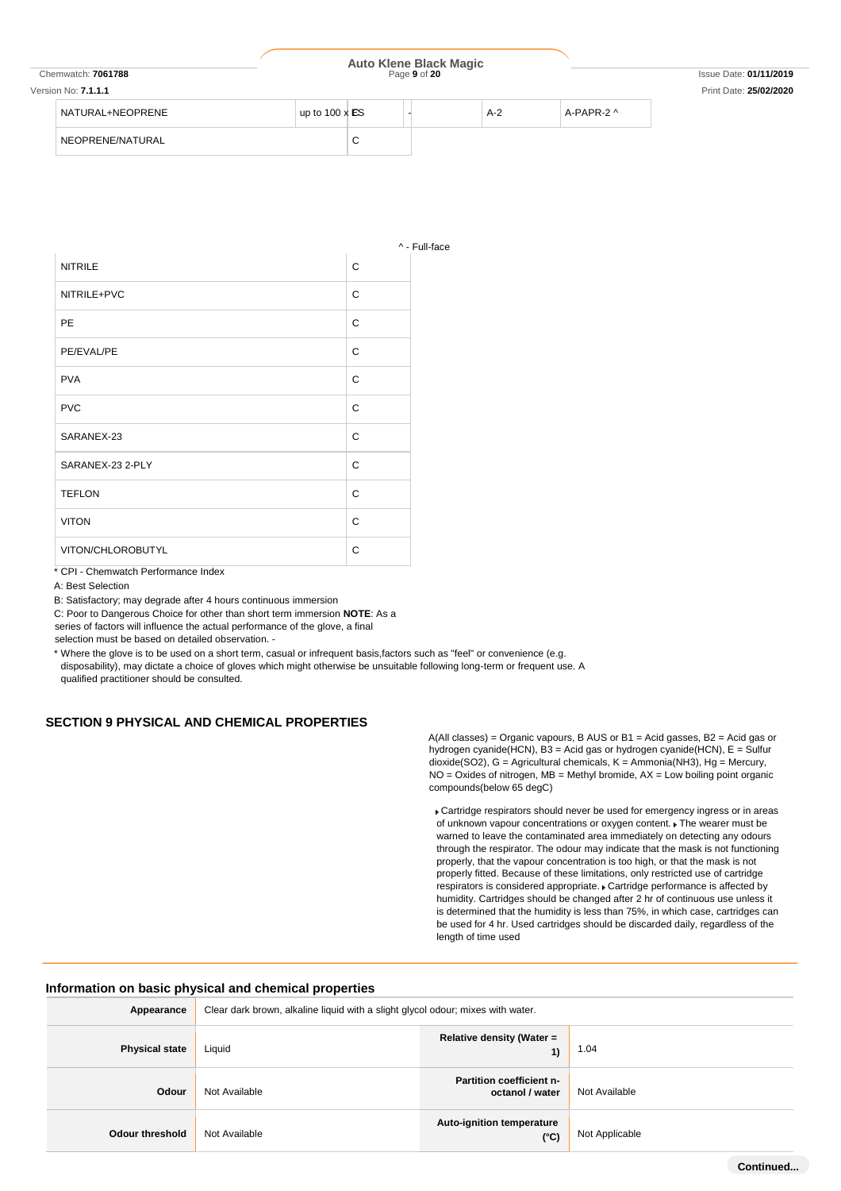| Chemwatch: 7061788  | <b>Auto Klene Black Magic</b><br>Page 9 of 20 |        |  | <b>Issue Date: 01/11/2019</b> |            |                        |
|---------------------|-----------------------------------------------|--------|--|-------------------------------|------------|------------------------|
| Version No: 7.1.1.1 |                                               |        |  |                               |            | Print Date: 25/02/2020 |
| NATURAL+NEOPRENE    | up to $100 \times ES$                         |        |  | $A-2$                         | A-PAPR-2 ^ |                        |
| NEOPRENE/NATURAL    |                                               | ◠<br>◡ |  |                               |            |                        |

Full-face

|                   |   | Λ. |
|-------------------|---|----|
| <b>NITRILE</b>    | C |    |
| NITRILE+PVC       | C |    |
| PE                | C |    |
| PE/EVAL/PE        | C |    |
| <b>PVA</b>        | C |    |
| <b>PVC</b>        | C |    |
| SARANEX-23        | C |    |
| SARANEX-23 2-PLY  | C |    |
| <b>TEFLON</b>     | C |    |
| <b>VITON</b>      | C |    |
| VITON/CHLOROBUTYL | C |    |
|                   |   |    |

\* CPI - Chemwatch Performance Index

A: Best Selection

B: Satisfactory; may degrade after 4 hours continuous immersion

C: Poor to Dangerous Choice for other than short term immersion **NOTE**: As a

series of factors will influence the actual performance of the glove, a final

selection must be based on detailed observation. -

\* Where the glove is to be used on a short term, casual or infrequent basis,factors such as "feel" or convenience (e.g. disposability), may dictate a choice of gloves which might otherwise be unsuitable following long-term or frequent use. A qualified practitioner should be consulted.

#### **SECTION 9 PHYSICAL AND CHEMICAL PROPERTIES**

A(All classes) = Organic vapours, B AUS or B1 = Acid gasses, B2 = Acid gas or hydrogen cyanide(HCN), B3 = Acid gas or hydrogen cyanide(HCN), E = Sulfur dioxide(SO2), G = Agricultural chemicals, K = Ammonia(NH3), Hg = Mercury, NO = Oxides of nitrogen, MB = Methyl bromide, AX = Low boiling point organic compounds(below 65 degC)

Cartridge respirators should never be used for emergency ingress or in areas of unknown vapour concentrations or oxygen content.  $\blacktriangleright$  The wearer must be warned to leave the contaminated area immediately on detecting any odours through the respirator. The odour may indicate that the mask is not functioning properly, that the vapour concentration is too high, or that the mask is not properly fitted. Because of these limitations, only restricted use of cartridge respirators is considered appropriate. Cartridge performance is affected by humidity. Cartridges should be changed after 2 hr of continuous use unless it is determined that the humidity is less than 75%, in which case, cartridges can be used for 4 hr. Used cartridges should be discarded daily, regardless of the length of time used

#### **Information on basic physical and chemical properties**

| Appearance             | Clear dark brown, alkaline liquid with a slight glycol odour; mixes with water. |                                                    |                |
|------------------------|---------------------------------------------------------------------------------|----------------------------------------------------|----------------|
| <b>Physical state</b>  | Liquid                                                                          | Relative density (Water =<br>1)                    | 1.04           |
| Odour                  | Not Available                                                                   | <b>Partition coefficient n-</b><br>octanol / water | Not Available  |
| <b>Odour threshold</b> | Not Available                                                                   | Auto-ignition temperature<br>$(^{\circ}C)$         | Not Applicable |

**Continued...**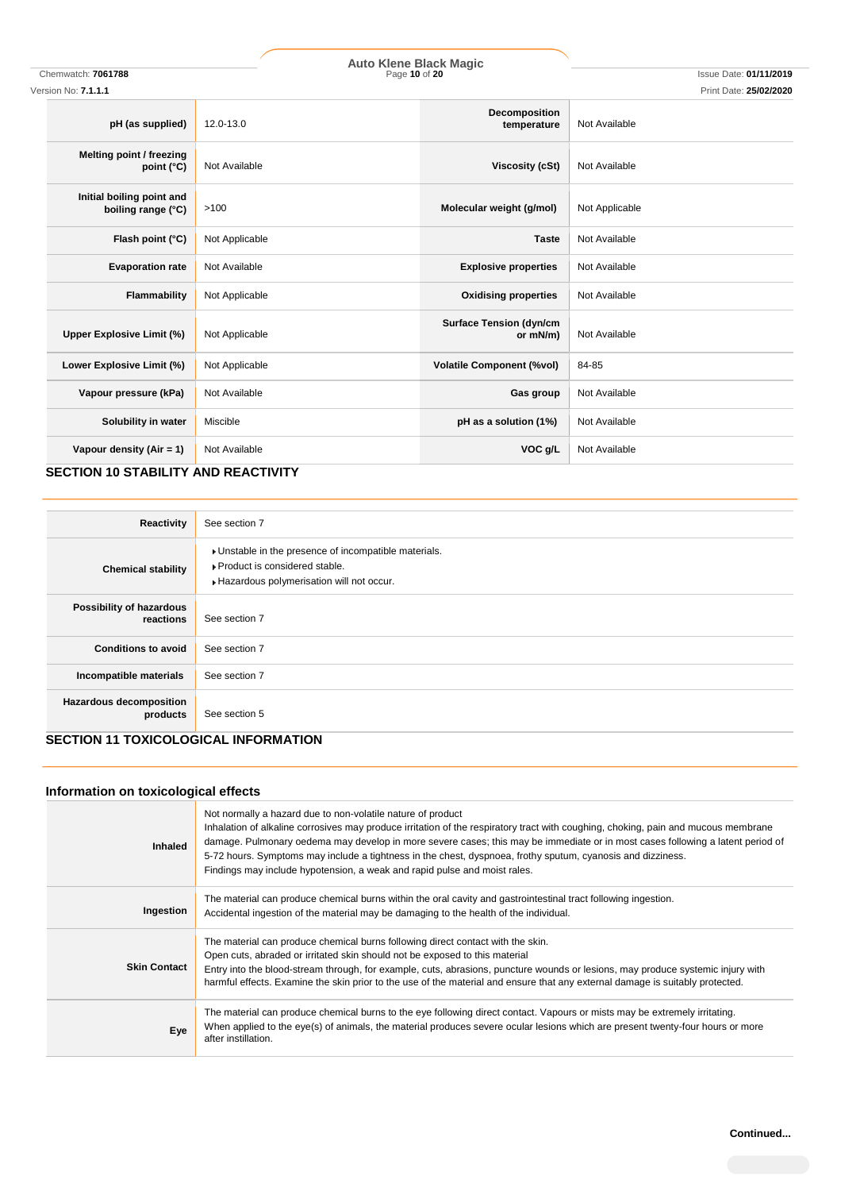| Version No: 7.1.1.1                             |                |                                            | Print Date: 25/02/2020 |
|-------------------------------------------------|----------------|--------------------------------------------|------------------------|
| pH (as supplied)                                | 12.0-13.0      | Decomposition<br>temperature               | Not Available          |
| Melting point / freezing<br>point $(^{\circ}C)$ | Not Available  | <b>Viscosity (cSt)</b>                     | Not Available          |
| Initial boiling point and<br>boiling range (°C) | >100           | Molecular weight (g/mol)                   | Not Applicable         |
| Flash point (°C)                                | Not Applicable | <b>Taste</b>                               | Not Available          |
| <b>Evaporation rate</b>                         | Not Available  | <b>Explosive properties</b>                | Not Available          |
| Flammability                                    | Not Applicable | <b>Oxidising properties</b>                | Not Available          |
| Upper Explosive Limit (%)                       | Not Applicable | <b>Surface Tension (dyn/cm</b><br>or mN/m) | Not Available          |
| Lower Explosive Limit (%)                       | Not Applicable | <b>Volatile Component (%vol)</b>           | 84-85                  |
| Vapour pressure (kPa)                           | Not Available  | Gas group                                  | Not Available          |
| Solubility in water                             | Miscible       | pH as a solution (1%)                      | Not Available          |
| Vapour density (Air = $1$ )                     | Not Available  | VOC g/L                                    | Not Available          |

**SECTION 10 STABILITY AND REACTIVITY**

| Reactivity                            | See section 7                                                                                                                        |
|---------------------------------------|--------------------------------------------------------------------------------------------------------------------------------------|
| <b>Chemical stability</b>             | » Unstable in the presence of incompatible materials.<br>▶ Product is considered stable.<br>Hazardous polymerisation will not occur. |
| Possibility of hazardous<br>reactions | See section 7                                                                                                                        |
| <b>Conditions to avoid</b>            | See section 7                                                                                                                        |
| Incompatible materials                | See section 7                                                                                                                        |
| Hazardous decomposition<br>products   | See section 5                                                                                                                        |

## **SECTION 11 TOXICOLOGICAL INFORMATION**

# **Information on toxicological effects**

| Inhaled             | Not normally a hazard due to non-volatile nature of product<br>Inhalation of alkaline corrosives may produce irritation of the respiratory tract with coughing, choking, pain and mucous membrane<br>damage. Pulmonary oedema may develop in more severe cases; this may be immediate or in most cases following a latent period of<br>5-72 hours. Symptoms may include a tightness in the chest, dyspnoea, frothy sputum, cyanosis and dizziness.<br>Findings may include hypotension, a weak and rapid pulse and moist rales. |
|---------------------|---------------------------------------------------------------------------------------------------------------------------------------------------------------------------------------------------------------------------------------------------------------------------------------------------------------------------------------------------------------------------------------------------------------------------------------------------------------------------------------------------------------------------------|
| Ingestion           | The material can produce chemical burns within the oral cavity and gastrointestinal tract following ingestion.<br>Accidental ingestion of the material may be damaging to the health of the individual.                                                                                                                                                                                                                                                                                                                         |
| <b>Skin Contact</b> | The material can produce chemical burns following direct contact with the skin.<br>Open cuts, abraded or irritated skin should not be exposed to this material<br>Entry into the blood-stream through, for example, cuts, abrasions, puncture wounds or lesions, may produce systemic injury with<br>harmful effects. Examine the skin prior to the use of the material and ensure that any external damage is suitably protected.                                                                                              |
| Eye                 | The material can produce chemical burns to the eye following direct contact. Vapours or mists may be extremely irritating.<br>When applied to the eye(s) of animals, the material produces severe ocular lesions which are present twenty-four hours or more<br>after instillation.                                                                                                                                                                                                                                             |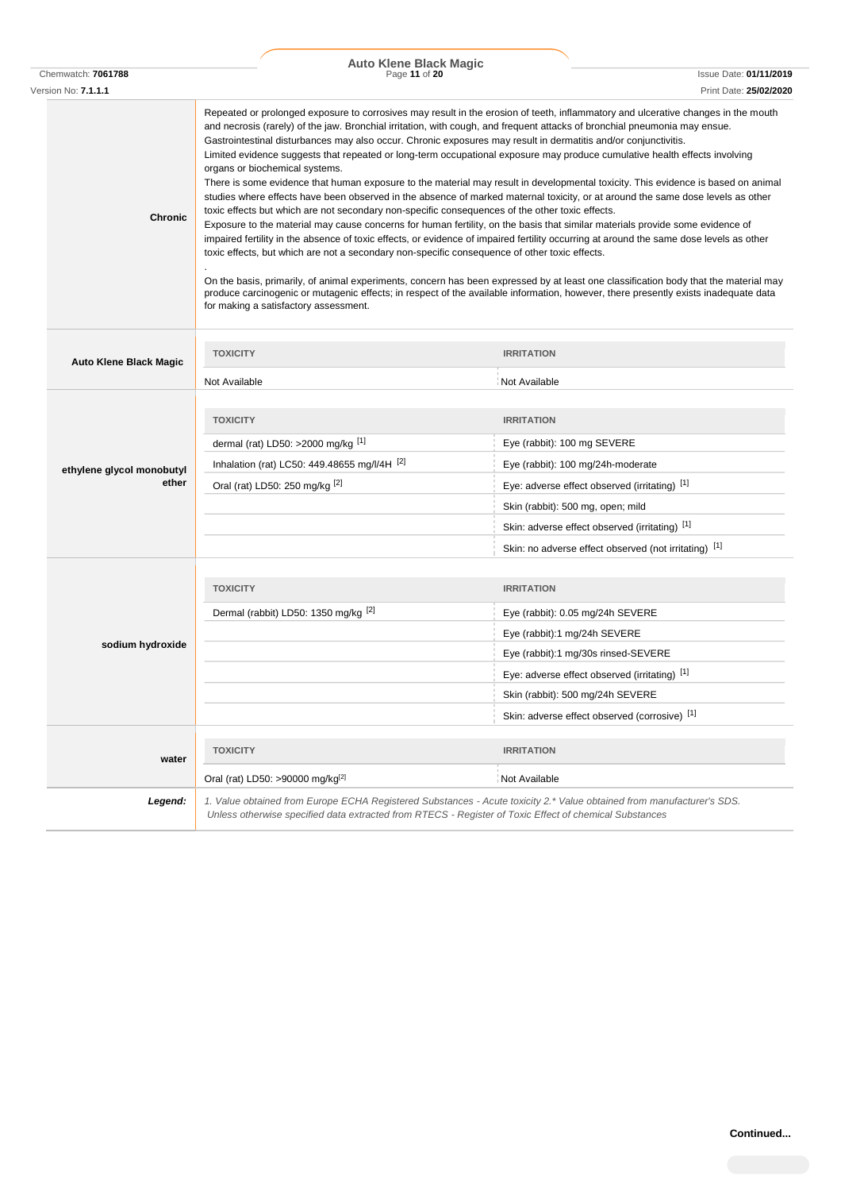| Chemwatch: 7061788                 | <b>Auto Klene Black Magic</b><br>Page 11 of 20                                                                                                                                                                                                                              | <b>Issue Date: 01/11/2019</b>                                                                                                                                                                                                                                                                                                                                                                                                                                                                                                                                                                                                                                                                                                                                                                                                                                                                                                                                                                                                                                                                                                                                                                                                                                                                                                                       |
|------------------------------------|-----------------------------------------------------------------------------------------------------------------------------------------------------------------------------------------------------------------------------------------------------------------------------|-----------------------------------------------------------------------------------------------------------------------------------------------------------------------------------------------------------------------------------------------------------------------------------------------------------------------------------------------------------------------------------------------------------------------------------------------------------------------------------------------------------------------------------------------------------------------------------------------------------------------------------------------------------------------------------------------------------------------------------------------------------------------------------------------------------------------------------------------------------------------------------------------------------------------------------------------------------------------------------------------------------------------------------------------------------------------------------------------------------------------------------------------------------------------------------------------------------------------------------------------------------------------------------------------------------------------------------------------------|
| Version No: 7.1.1.1                |                                                                                                                                                                                                                                                                             | Print Date: 25/02/2020                                                                                                                                                                                                                                                                                                                                                                                                                                                                                                                                                                                                                                                                                                                                                                                                                                                                                                                                                                                                                                                                                                                                                                                                                                                                                                                              |
| <b>Chronic</b>                     | organs or biochemical systems.<br>toxic effects but which are not secondary non-specific consequences of the other toxic effects.<br>toxic effects, but which are not a secondary non-specific consequence of other toxic effects.<br>for making a satisfactory assessment. | Repeated or prolonged exposure to corrosives may result in the erosion of teeth, inflammatory and ulcerative changes in the mouth<br>and necrosis (rarely) of the jaw. Bronchial irritation, with cough, and frequent attacks of bronchial pneumonia may ensue.<br>Gastrointestinal disturbances may also occur. Chronic exposures may result in dermatitis and/or conjunctivitis.<br>Limited evidence suggests that repeated or long-term occupational exposure may produce cumulative health effects involving<br>There is some evidence that human exposure to the material may result in developmental toxicity. This evidence is based on animal<br>studies where effects have been observed in the absence of marked maternal toxicity, or at around the same dose levels as other<br>Exposure to the material may cause concerns for human fertility, on the basis that similar materials provide some evidence of<br>impaired fertility in the absence of toxic effects, or evidence of impaired fertility occurring at around the same dose levels as other<br>On the basis, primarily, of animal experiments, concern has been expressed by at least one classification body that the material may<br>produce carcinogenic or mutagenic effects; in respect of the available information, however, there presently exists inadequate data |
| <b>Auto Klene Black Magic</b>      | <b>TOXICITY</b>                                                                                                                                                                                                                                                             | <b>IRRITATION</b>                                                                                                                                                                                                                                                                                                                                                                                                                                                                                                                                                                                                                                                                                                                                                                                                                                                                                                                                                                                                                                                                                                                                                                                                                                                                                                                                   |
|                                    | Not Available                                                                                                                                                                                                                                                               | Not Available                                                                                                                                                                                                                                                                                                                                                                                                                                                                                                                                                                                                                                                                                                                                                                                                                                                                                                                                                                                                                                                                                                                                                                                                                                                                                                                                       |
| ethylene glycol monobutyl<br>ether | <b>TOXICITY</b><br>dermal (rat) LD50: >2000 mg/kg $^{[1]}$<br>Inhalation (rat) LC50: 449.48655 mg/l/4H $^{[2]}$<br>Oral (rat) LD50: 250 mg/kg [2]                                                                                                                           | <b>IRRITATION</b><br>Eye (rabbit): 100 mg SEVERE<br>Eye (rabbit): 100 mg/24h-moderate<br>Eye: adverse effect observed (irritating) [1]<br>Skin (rabbit): 500 mg, open; mild                                                                                                                                                                                                                                                                                                                                                                                                                                                                                                                                                                                                                                                                                                                                                                                                                                                                                                                                                                                                                                                                                                                                                                         |
|                                    |                                                                                                                                                                                                                                                                             | Skin: adverse effect observed (irritating) [1]                                                                                                                                                                                                                                                                                                                                                                                                                                                                                                                                                                                                                                                                                                                                                                                                                                                                                                                                                                                                                                                                                                                                                                                                                                                                                                      |
|                                    |                                                                                                                                                                                                                                                                             | Skin: no adverse effect observed (not irritating) [1]                                                                                                                                                                                                                                                                                                                                                                                                                                                                                                                                                                                                                                                                                                                                                                                                                                                                                                                                                                                                                                                                                                                                                                                                                                                                                               |
|                                    | <b>TOXICITY</b>                                                                                                                                                                                                                                                             | <b>IRRITATION</b>                                                                                                                                                                                                                                                                                                                                                                                                                                                                                                                                                                                                                                                                                                                                                                                                                                                                                                                                                                                                                                                                                                                                                                                                                                                                                                                                   |
|                                    | Dermal (rabbit) LD50: 1350 mg/kg <sup>[2]</sup>                                                                                                                                                                                                                             | Eye (rabbit): 0.05 mg/24h SEVERE                                                                                                                                                                                                                                                                                                                                                                                                                                                                                                                                                                                                                                                                                                                                                                                                                                                                                                                                                                                                                                                                                                                                                                                                                                                                                                                    |
| sodium hydroxide                   |                                                                                                                                                                                                                                                                             | Eye (rabbit):1 mg/24h SEVERE                                                                                                                                                                                                                                                                                                                                                                                                                                                                                                                                                                                                                                                                                                                                                                                                                                                                                                                                                                                                                                                                                                                                                                                                                                                                                                                        |
|                                    |                                                                                                                                                                                                                                                                             | Eye (rabbit):1 mg/30s rinsed-SEVERE                                                                                                                                                                                                                                                                                                                                                                                                                                                                                                                                                                                                                                                                                                                                                                                                                                                                                                                                                                                                                                                                                                                                                                                                                                                                                                                 |
|                                    |                                                                                                                                                                                                                                                                             | Eye: adverse effect observed (irritating) [1]                                                                                                                                                                                                                                                                                                                                                                                                                                                                                                                                                                                                                                                                                                                                                                                                                                                                                                                                                                                                                                                                                                                                                                                                                                                                                                       |
|                                    |                                                                                                                                                                                                                                                                             | Skin (rabbit): 500 mg/24h SEVERE                                                                                                                                                                                                                                                                                                                                                                                                                                                                                                                                                                                                                                                                                                                                                                                                                                                                                                                                                                                                                                                                                                                                                                                                                                                                                                                    |
|                                    |                                                                                                                                                                                                                                                                             | Skin: adverse effect observed (corrosive) [1]                                                                                                                                                                                                                                                                                                                                                                                                                                                                                                                                                                                                                                                                                                                                                                                                                                                                                                                                                                                                                                                                                                                                                                                                                                                                                                       |
| water                              | <b>TOXICITY</b>                                                                                                                                                                                                                                                             | <b>IRRITATION</b>                                                                                                                                                                                                                                                                                                                                                                                                                                                                                                                                                                                                                                                                                                                                                                                                                                                                                                                                                                                                                                                                                                                                                                                                                                                                                                                                   |
|                                    | Oral (rat) LD50: >90000 mg/kg[2]                                                                                                                                                                                                                                            | Not Available                                                                                                                                                                                                                                                                                                                                                                                                                                                                                                                                                                                                                                                                                                                                                                                                                                                                                                                                                                                                                                                                                                                                                                                                                                                                                                                                       |
| Legend:                            | Unless otherwise specified data extracted from RTECS - Register of Toxic Effect of chemical Substances                                                                                                                                                                      | 1. Value obtained from Europe ECHA Registered Substances - Acute toxicity 2.* Value obtained from manufacturer's SDS.                                                                                                                                                                                                                                                                                                                                                                                                                                                                                                                                                                                                                                                                                                                                                                                                                                                                                                                                                                                                                                                                                                                                                                                                                               |

l,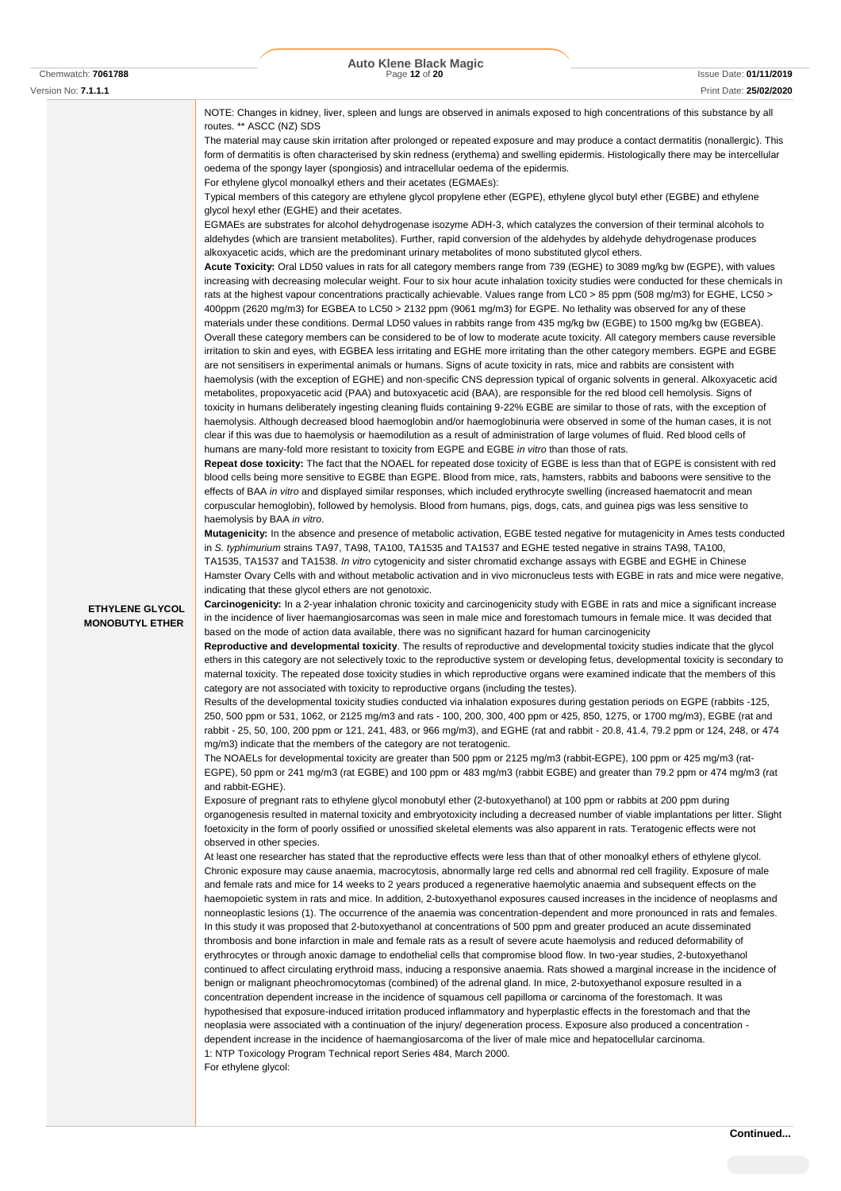| Version No: 7.1.1.1                              | Print Date: 25/02/2020                                                                                                                                                                                                                                                                                                                                                                                                                                                                                                                                                                                                                                                                                                                                                                                                                                                                                                                                                                                                                                                                                                                                                                                                                                                                                                                                                                                                                                                                                                                                                                                                                                                                                                                                                                                                                                                                                                                                                                                                                                                                                                                                                                                                                                                                                                                                                                                                                                                                                                                                                                                                                                                                                                                                                                                                                                                                                                                                                                                                                                                                                                                                                                                                                                                                                                                                                                                                                                                                                                                                                                                                                                                                                                                                                                                                                                                                                                                                                                                                                                                                                                                                                                                                                                                                                                                                                                                                                                                                                                                                                                                                                                                                                                                                                                                                                                                                                                                                                                                                                                                                                                                                                                                                                                                                                                                                                                                                                                                                                                                                                                                                                                                                                                                                                                                                                                                                                                                                                                                                                                                                                                                                                                                                                                                                                                                                                                                                                                                                                                                                                                                                                                                                                                                                                                                                                                                                                                                                                                                                                                                                                                                                                                                                                                                                                                                                                                                                                                                                                                                                                                                              |
|--------------------------------------------------|---------------------------------------------------------------------------------------------------------------------------------------------------------------------------------------------------------------------------------------------------------------------------------------------------------------------------------------------------------------------------------------------------------------------------------------------------------------------------------------------------------------------------------------------------------------------------------------------------------------------------------------------------------------------------------------------------------------------------------------------------------------------------------------------------------------------------------------------------------------------------------------------------------------------------------------------------------------------------------------------------------------------------------------------------------------------------------------------------------------------------------------------------------------------------------------------------------------------------------------------------------------------------------------------------------------------------------------------------------------------------------------------------------------------------------------------------------------------------------------------------------------------------------------------------------------------------------------------------------------------------------------------------------------------------------------------------------------------------------------------------------------------------------------------------------------------------------------------------------------------------------------------------------------------------------------------------------------------------------------------------------------------------------------------------------------------------------------------------------------------------------------------------------------------------------------------------------------------------------------------------------------------------------------------------------------------------------------------------------------------------------------------------------------------------------------------------------------------------------------------------------------------------------------------------------------------------------------------------------------------------------------------------------------------------------------------------------------------------------------------------------------------------------------------------------------------------------------------------------------------------------------------------------------------------------------------------------------------------------------------------------------------------------------------------------------------------------------------------------------------------------------------------------------------------------------------------------------------------------------------------------------------------------------------------------------------------------------------------------------------------------------------------------------------------------------------------------------------------------------------------------------------------------------------------------------------------------------------------------------------------------------------------------------------------------------------------------------------------------------------------------------------------------------------------------------------------------------------------------------------------------------------------------------------------------------------------------------------------------------------------------------------------------------------------------------------------------------------------------------------------------------------------------------------------------------------------------------------------------------------------------------------------------------------------------------------------------------------------------------------------------------------------------------------------------------------------------------------------------------------------------------------------------------------------------------------------------------------------------------------------------------------------------------------------------------------------------------------------------------------------------------------------------------------------------------------------------------------------------------------------------------------------------------------------------------------------------------------------------------------------------------------------------------------------------------------------------------------------------------------------------------------------------------------------------------------------------------------------------------------------------------------------------------------------------------------------------------------------------------------------------------------------------------------------------------------------------------------------------------------------------------------------------------------------------------------------------------------------------------------------------------------------------------------------------------------------------------------------------------------------------------------------------------------------------------------------------------------------------------------------------------------------------------------------------------------------------------------------------------------------------------------------------------------------------------------------------------------------------------------------------------------------------------------------------------------------------------------------------------------------------------------------------------------------------------------------------------------------------------------------------------------------------------------------------------------------------------------------------------------------------------------------------------------------------------------------------------------------------------------------------------------------------------------------------------------------------------------------------------------------------------------------------------------------------------------------------------------------------------------------------------------------------------------------------------------------------------------------------------------------------------------------------------------------------------------------------------------------------------------------------------------------------------------------------------------------------------------------------------------------------------------------------------------------------------------------------------------------------------------------------------------------------------------------------------------------------------------------------------------------------------------------------------------------------------------------------------------------------------------|
| <b>ETHYLENE GLYCOL</b><br><b>MONOBUTYL ETHER</b> | NOTE: Changes in kidney, liver, spleen and lungs are observed in animals exposed to high concentrations of this substance by all<br>routes. ** ASCC (NZ) SDS<br>The material may cause skin irritation after prolonged or repeated exposure and may produce a contact dermatitis (nonallergic). This<br>form of dermatitis is often characterised by skin redness (erythema) and swelling epidermis. Histologically there may be intercellular<br>oedema of the spongy layer (spongiosis) and intracellular oedema of the epidermis.<br>For ethylene glycol monoalkyl ethers and their acetates (EGMAEs):<br>Typical members of this category are ethylene glycol propylene ether (EGPE), ethylene glycol butyl ether (EGBE) and ethylene<br>glycol hexyl ether (EGHE) and their acetates.<br>EGMAEs are substrates for alcohol dehydrogenase isozyme ADH-3, which catalyzes the conversion of their terminal alcohols to<br>aldehydes (which are transient metabolites). Further, rapid conversion of the aldehydes by aldehyde dehydrogenase produces<br>alkoxyacetic acids, which are the predominant urinary metabolites of mono substituted glycol ethers.<br>Acute Toxicity: Oral LD50 values in rats for all category members range from 739 (EGHE) to 3089 mg/kg bw (EGPE), with values<br>increasing with decreasing molecular weight. Four to six hour acute inhalation toxicity studies were conducted for these chemicals in<br>rats at the highest vapour concentrations practically achievable. Values range from LC0 > 85 ppm (508 mg/m3) for EGHE, LC50 ><br>400ppm (2620 mg/m3) for EGBEA to LC50 > 2132 ppm (9061 mg/m3) for EGPE. No lethality was observed for any of these<br>materials under these conditions. Dermal LD50 values in rabbits range from 435 mg/kg bw (EGBE) to 1500 mg/kg bw (EGBEA).<br>Overall these category members can be considered to be of low to moderate acute toxicity. All category members cause reversible<br>irritation to skin and eyes, with EGBEA less irritating and EGHE more irritating than the other category members. EGPE and EGBE<br>are not sensitisers in experimental animals or humans. Signs of acute toxicity in rats, mice and rabbits are consistent with<br>haemolysis (with the exception of EGHE) and non-specific CNS depression typical of organic solvents in general. Alkoxyacetic acid<br>metabolites, propoxyacetic acid (PAA) and butoxyacetic acid (BAA), are responsible for the red blood cell hemolysis. Signs of<br>toxicity in humans deliberately ingesting cleaning fluids containing 9-22% EGBE are similar to those of rats, with the exception of<br>haemolysis. Although decreased blood haemoglobin and/or haemoglobinuria were observed in some of the human cases, it is not<br>clear if this was due to haemolysis or haemodilution as a result of administration of large volumes of fluid. Red blood cells of<br>humans are many-fold more resistant to toxicity from EGPE and EGBE in vitro than those of rats.<br>Repeat dose toxicity: The fact that the NOAEL for repeated dose toxicity of EGBE is less than that of EGPE is consistent with red<br>blood cells being more sensitive to EGBE than EGPE. Blood from mice, rats, hamsters, rabbits and baboons were sensitive to the<br>effects of BAA in vitro and displayed similar responses, which included erythrocyte swelling (increased haematocrit and mean<br>corpuscular hemoglobin), followed by hemolysis. Blood from humans, pigs, dogs, cats, and guinea pigs was less sensitive to<br>haemolysis by BAA in vitro.<br>Mutagenicity: In the absence and presence of metabolic activation, EGBE tested negative for mutagenicity in Ames tests conducted<br>in S. typhimurium strains TA97, TA98, TA100, TA1535 and TA1537 and EGHE tested negative in strains TA98, TA100,<br>TA1535, TA1537 and TA1538. In vitro cytogenicity and sister chromatid exchange assays with EGBE and EGHE in Chinese<br>Hamster Ovary Cells with and without metabolic activation and in vivo micronucleus tests with EGBE in rats and mice were negative,<br>indicating that these glycol ethers are not genotoxic.<br>Carcinogenicity: In a 2-year inhalation chronic toxicity and carcinogenicity study with EGBE in rats and mice a significant increase<br>in the incidence of liver haemangiosarcomas was seen in male mice and forestomach tumours in female mice. It was decided that<br>based on the mode of action data available, there was no significant hazard for human carcinogenicity<br>Reproductive and developmental toxicity. The results of reproductive and developmental toxicity studies indicate that the glycol<br>ethers in this category are not selectively toxic to the reproductive system or developing fetus, developmental toxicity is secondary to<br>maternal toxicity. The repeated dose toxicity studies in which reproductive organs were examined indicate that the members of this<br>category are not associated with toxicity to reproductive organs (including the testes).<br>Results of the developmental toxicity studies conducted via inhalation exposures during gestation periods on EGPE (rabbits -125,<br>250, 500 ppm or 531, 1062, or 2125 mg/m3 and rats - 100, 200, 300, 400 ppm or 425, 850, 1275, or 1700 mg/m3), EGBE (rat and<br>rabbit - 25, 50, 100, 200 ppm or 121, 241, 483, or 966 mg/m3), and EGHE (rat and rabbit - 20.8, 41.4, 79.2 ppm or 124, 248, or 474<br>mg/m3) indicate that the members of the category are not teratogenic.<br>The NOAELs for developmental toxicity are greater than 500 ppm or 2125 mg/m3 (rabbit-EGPE), 100 ppm or 425 mg/m3 (rat-<br>EGPE), 50 ppm or 241 mg/m3 (rat EGBE) and 100 ppm or 483 mg/m3 (rabbit EGBE) and greater than 79.2 ppm or 474 mg/m3 (rat<br>and rabbit-EGHE).<br>Exposure of pregnant rats to ethylene glycol monobutyl ether (2-butoxyethanol) at 100 ppm or rabbits at 200 ppm during<br>organogenesis resulted in maternal toxicity and embryotoxicity including a decreased number of viable implantations per litter. Slight<br>foetoxicity in the form of poorly ossified or unossified skeletal elements was also apparent in rats. Teratogenic effects were not<br>observed in other species.<br>At least one researcher has stated that the reproductive effects were less than that of other monoalkyl ethers of ethylene glycol.<br>Chronic exposure may cause anaemia, macrocytosis, abnormally large red cells and abnormal red cell fragility. Exposure of male<br>and female rats and mice for 14 weeks to 2 years produced a regenerative haemolytic anaemia and subsequent effects on the<br>haemopoietic system in rats and mice. In addition, 2-butoxyethanol exposures caused increases in the incidence of neoplasms and<br>nonneoplastic lesions (1). The occurrence of the anaemia was concentration-dependent and more pronounced in rats and females.<br>In this study it was proposed that 2-butoxyethanol at concentrations of 500 ppm and greater produced an acute disseminated<br>thrombosis and bone infarction in male and female rats as a result of severe acute haemolysis and reduced deformability of<br>erythrocytes or through anoxic damage to endothelial cells that compromise blood flow. In two-year studies, 2-butoxyethanol<br>continued to affect circulating erythroid mass, inducing a responsive anaemia. Rats showed a marginal increase in the incidence of<br>benign or malignant pheochromocytomas (combined) of the adrenal gland. In mice, 2-butoxyethanol exposure resulted in a |
|                                                  | concentration dependent increase in the incidence of squamous cell papilloma or carcinoma of the forestomach. It was<br>hypothesised that exposure-induced irritation produced inflammatory and hyperplastic effects in the forestomach and that the<br>neoplasia were associated with a continuation of the injury/ degeneration process. Exposure also produced a concentration -<br>dependent increase in the incidence of haemangiosarcoma of the liver of male mice and hepatocellular carcinoma.<br>1: NTP Toxicology Program Technical report Series 484, March 2000.<br>For ethylene glycol:                                                                                                                                                                                                                                                                                                                                                                                                                                                                                                                                                                                                                                                                                                                                                                                                                                                                                                                                                                                                                                                                                                                                                                                                                                                                                                                                                                                                                                                                                                                                                                                                                                                                                                                                                                                                                                                                                                                                                                                                                                                                                                                                                                                                                                                                                                                                                                                                                                                                                                                                                                                                                                                                                                                                                                                                                                                                                                                                                                                                                                                                                                                                                                                                                                                                                                                                                                                                                                                                                                                                                                                                                                                                                                                                                                                                                                                                                                                                                                                                                                                                                                                                                                                                                                                                                                                                                                                                                                                                                                                                                                                                                                                                                                                                                                                                                                                                                                                                                                                                                                                                                                                                                                                                                                                                                                                                                                                                                                                                                                                                                                                                                                                                                                                                                                                                                                                                                                                                                                                                                                                                                                                                                                                                                                                                                                                                                                                                                                                                                                                                                                                                                                                                                                                                                                                                                                                                                                                                                                                                                |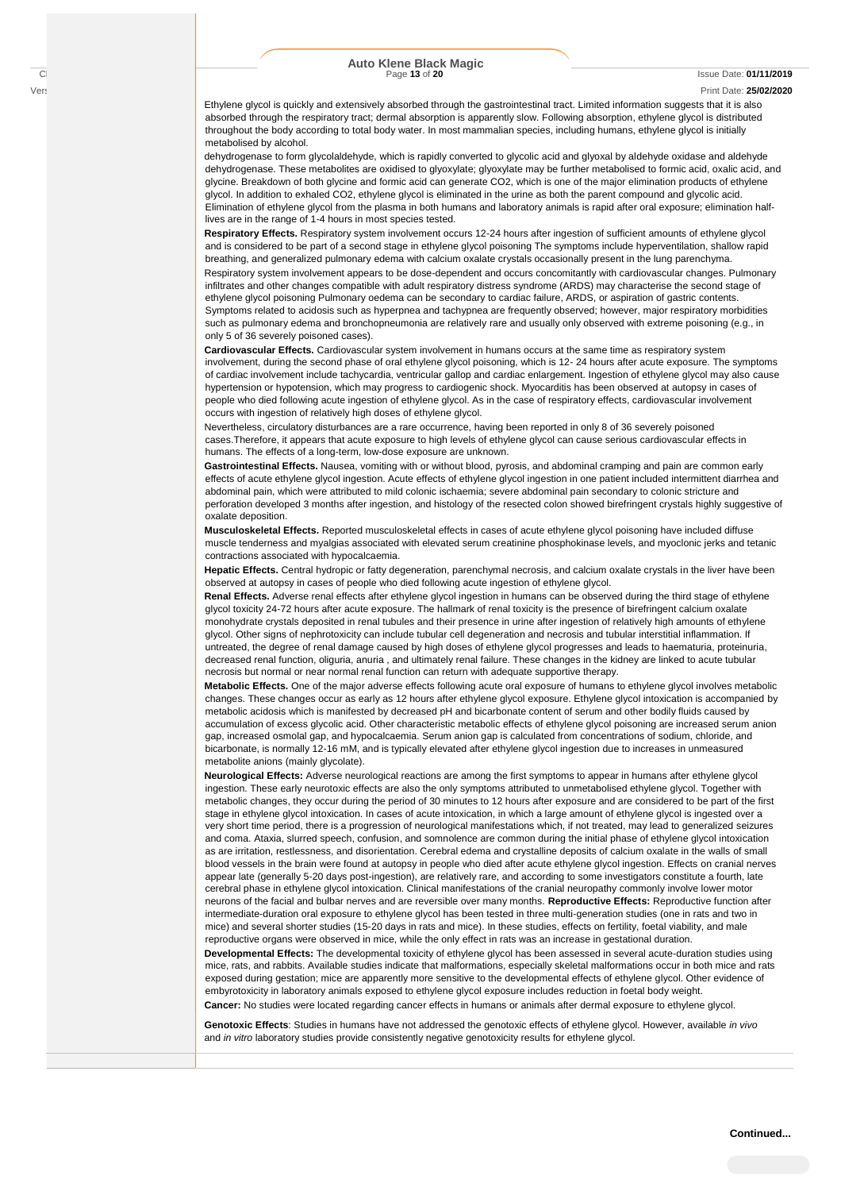#### Version No: **7.1.1.1** Print Date: **25/02/2020**

Ethylene glycol is quickly and extensively absorbed through the gastrointestinal tract. Limited information suggests that it is also absorbed through the respiratory tract; dermal absorption is apparently slow. Following absorption, ethylene glycol is distributed throughout the body according to total body water. In most mammalian species, including humans, ethylene glycol is initially metabolised by alcohol.

dehydrogenase to form glycolaldehyde, which is rapidly converted to glycolic acid and glyoxal by aldehyde oxidase and aldehyde dehydrogenase. These metabolites are oxidised to glyoxylate; glyoxylate may be further metabolised to formic acid, oxalic acid, and glycine. Breakdown of both glycine and formic acid can generate CO2, which is one of the major elimination products of ethylene glycol. In addition to exhaled CO2, ethylene glycol is eliminated in the urine as both the parent compound and glycolic acid. Elimination of ethylene glycol from the plasma in both humans and laboratory animals is rapid after oral exposure; elimination halflives are in the range of 1-4 hours in most species tested.

**Respiratory Effects.** Respiratory system involvement occurs 12-24 hours after ingestion of sufficient amounts of ethylene glycol and is considered to be part of a second stage in ethylene glycol poisoning The symptoms include hyperventilation, shallow rapid breathing, and generalized pulmonary edema with calcium oxalate crystals occasionally present in the lung parenchyma.

Respiratory system involvement appears to be dose-dependent and occurs concomitantly with cardiovascular changes. Pulmonary infiltrates and other changes compatible with adult respiratory distress syndrome (ARDS) may characterise the second stage of ethylene glycol poisoning Pulmonary oedema can be secondary to cardiac failure, ARDS, or aspiration of gastric contents. Symptoms related to acidosis such as hyperpnea and tachypnea are frequently observed; however, major respiratory morbidities such as pulmonary edema and bronchopneumonia are relatively rare and usually only observed with extreme poisoning (e.g., in only 5 of 36 severely poisoned cases).

**Cardiovascular Effects.** Cardiovascular system involvement in humans occurs at the same time as respiratory system involvement, during the second phase of oral ethylene glycol poisoning, which is 12- 24 hours after acute exposure. The symptoms of cardiac involvement include tachycardia, ventricular gallop and cardiac enlargement. Ingestion of ethylene glycol may also cause hypertension or hypotension, which may progress to cardiogenic shock. Myocarditis has been observed at autopsy in cases of people who died following acute ingestion of ethylene glycol. As in the case of respiratory effects, cardiovascular involvement occurs with ingestion of relatively high doses of ethylene glycol.

Nevertheless, circulatory disturbances are a rare occurrence, having been reported in only 8 of 36 severely poisoned cases.Therefore, it appears that acute exposure to high levels of ethylene glycol can cause serious cardiovascular effects in humans. The effects of a long-term, low-dose exposure are unknown.

**Gastrointestinal Effects.** Nausea, vomiting with or without blood, pyrosis, and abdominal cramping and pain are common early effects of acute ethylene glycol ingestion. Acute effects of ethylene glycol ingestion in one patient included intermittent diarrhea and abdominal pain, which were attributed to mild colonic ischaemia; severe abdominal pain secondary to colonic stricture and perforation developed 3 months after ingestion, and histology of the resected colon showed birefringent crystals highly suggestive of oxalate deposition.

**Musculoskeletal Effects.** Reported musculoskeletal effects in cases of acute ethylene glycol poisoning have included diffuse muscle tenderness and myalgias associated with elevated serum creatinine phosphokinase levels, and myoclonic jerks and tetanic contractions associated with hypocalcaemia.

**Hepatic Effects.** Central hydropic or fatty degeneration, parenchymal necrosis, and calcium oxalate crystals in the liver have been observed at autopsy in cases of people who died following acute ingestion of ethylene glycol.

**Renal Effects.** Adverse renal effects after ethylene glycol ingestion in humans can be observed during the third stage of ethylene glycol toxicity 24-72 hours after acute exposure. The hallmark of renal toxicity is the presence of birefringent calcium oxalate monohydrate crystals deposited in renal tubules and their presence in urine after ingestion of relatively high amounts of ethylene glycol. Other signs of nephrotoxicity can include tubular cell degeneration and necrosis and tubular interstitial inflammation. If untreated, the degree of renal damage caused by high doses of ethylene glycol progresses and leads to haematuria, proteinuria, decreased renal function, oliguria, anuria , and ultimately renal failure. These changes in the kidney are linked to acute tubular necrosis but normal or near normal renal function can return with adequate supportive therapy.

**Metabolic Effects.** One of the major adverse effects following acute oral exposure of humans to ethylene glycol involves metabolic changes. These changes occur as early as 12 hours after ethylene glycol exposure. Ethylene glycol intoxication is accompanied by metabolic acidosis which is manifested by decreased pH and bicarbonate content of serum and other bodily fluids caused by accumulation of excess glycolic acid. Other characteristic metabolic effects of ethylene glycol poisoning are increased serum anion gap, increased osmolal gap, and hypocalcaemia. Serum anion gap is calculated from concentrations of sodium, chloride, and bicarbonate, is normally 12-16 mM, and is typically elevated after ethylene glycol ingestion due to increases in unmeasured metabolite anions (mainly glycolate).

**Neurological Effects:** Adverse neurological reactions are among the first symptoms to appear in humans after ethylene glycol ingestion. These early neurotoxic effects are also the only symptoms attributed to unmetabolised ethylene glycol. Together with metabolic changes, they occur during the period of 30 minutes to 12 hours after exposure and are considered to be part of the first stage in ethylene glycol intoxication. In cases of acute intoxication, in which a large amount of ethylene glycol is ingested over a very short time period, there is a progression of neurological manifestations which, if not treated, may lead to generalized seizures and coma. Ataxia, slurred speech, confusion, and somnolence are common during the initial phase of ethylene glycol intoxication as are irritation, restlessness, and disorientation. Cerebral edema and crystalline deposits of calcium oxalate in the walls of small blood vessels in the brain were found at autopsy in people who died after acute ethylene glycol ingestion. Effects on cranial nerves appear late (generally 5-20 days post-ingestion), are relatively rare, and according to some investigators constitute a fourth, late cerebral phase in ethylene glycol intoxication. Clinical manifestations of the cranial neuropathy commonly involve lower motor neurons of the facial and bulbar nerves and are reversible over many months. **Reproductive Effects:** Reproductive function after intermediate-duration oral exposure to ethylene glycol has been tested in three multi-generation studies (one in rats and two in mice) and several shorter studies (15-20 days in rats and mice). In these studies, effects on fertility, foetal viability, and male reproductive organs were observed in mice, while the only effect in rats was an increase in gestational duration.

**Developmental Effects:** The developmental toxicity of ethylene glycol has been assessed in several acute-duration studies using mice, rats, and rabbits. Available studies indicate that malformations, especially skeletal malformations occur in both mice and rats exposed during gestation; mice are apparently more sensitive to the developmental effects of ethylene glycol. Other evidence of embyrotoxicity in laboratory animals exposed to ethylene glycol exposure includes reduction in foetal body weight. **Cancer:** No studies were located regarding cancer effects in humans or animals after dermal exposure to ethylene glycol.

**Genotoxic Effects**: Studies in humans have not addressed the genotoxic effects of ethylene glycol. However, available *in vivo*  and *in vitro* laboratory studies provide consistently negative genotoxicity results for ethylene glycol.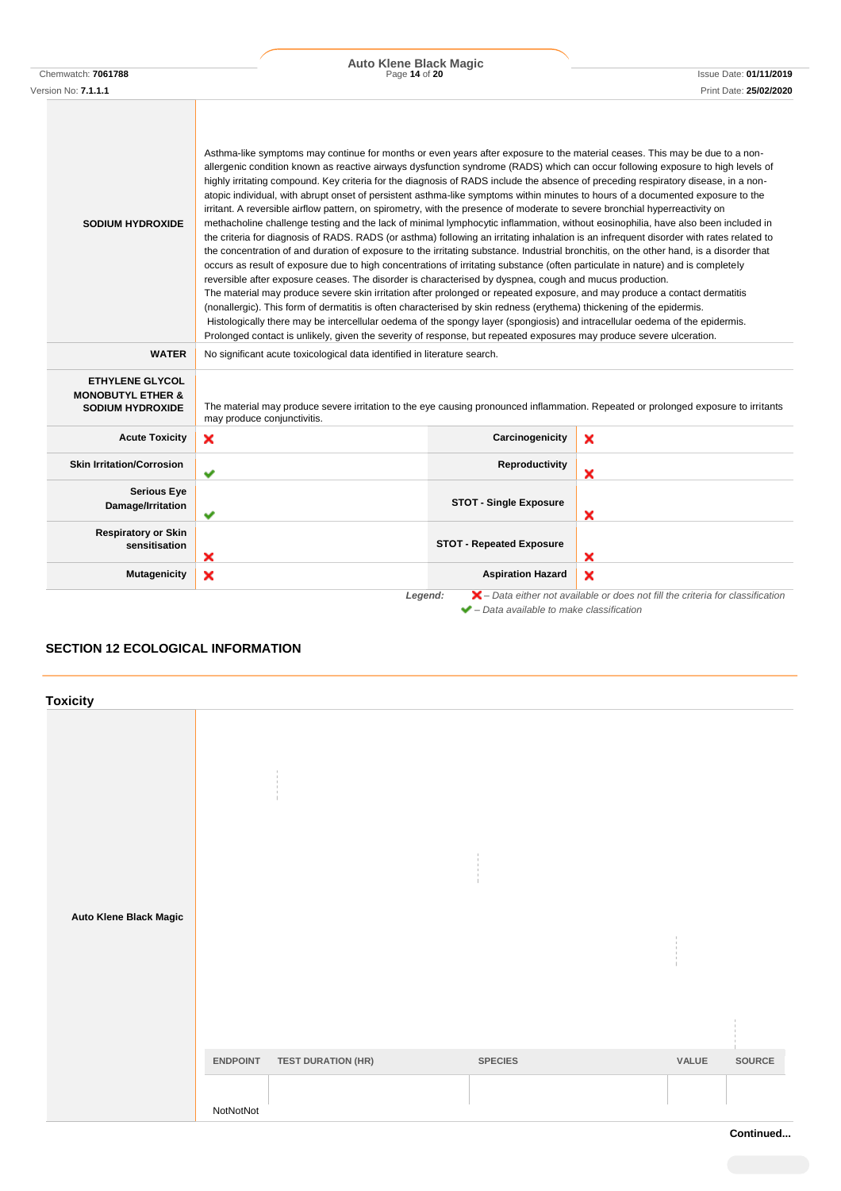| Chemwatch: 706178 |  |
|-------------------|--|
|                   |  |

Chemwatch: **7061788** Page **14** of **20** Issue Date: **01/11/2019 Auto Klene Black Magic**

| <b>SODIUM HYDROXIDE</b>                                                           | Asthma-like symptoms may continue for months or even years after exposure to the material ceases. This may be due to a non-<br>allergenic condition known as reactive airways dysfunction syndrome (RADS) which can occur following exposure to high levels of<br>highly irritating compound. Key criteria for the diagnosis of RADS include the absence of preceding respiratory disease, in a non-<br>atopic individual, with abrupt onset of persistent asthma-like symptoms within minutes to hours of a documented exposure to the<br>irritant. A reversible airflow pattern, on spirometry, with the presence of moderate to severe bronchial hyperreactivity on<br>methacholine challenge testing and the lack of minimal lymphocytic inflammation, without eosinophilia, have also been included in<br>the criteria for diagnosis of RADS. RADS (or asthma) following an irritating inhalation is an infrequent disorder with rates related to<br>the concentration of and duration of exposure to the irritating substance. Industrial bronchitis, on the other hand, is a disorder that<br>occurs as result of exposure due to high concentrations of irritating substance (often particulate in nature) and is completely<br>reversible after exposure ceases. The disorder is characterised by dyspnea, cough and mucus production.<br>The material may produce severe skin irritation after prolonged or repeated exposure, and may produce a contact dermatitis<br>(nonallergic). This form of dermatitis is often characterised by skin redness (erythema) thickening of the epidermis.<br>Histologically there may be intercellular oedema of the spongy layer (spongiosis) and intracellular oedema of the epidermis.<br>Prolonged contact is unlikely, given the severity of response, but repeated exposures may produce severe ulceration. |                                 |   |  |
|-----------------------------------------------------------------------------------|----------------------------------------------------------------------------------------------------------------------------------------------------------------------------------------------------------------------------------------------------------------------------------------------------------------------------------------------------------------------------------------------------------------------------------------------------------------------------------------------------------------------------------------------------------------------------------------------------------------------------------------------------------------------------------------------------------------------------------------------------------------------------------------------------------------------------------------------------------------------------------------------------------------------------------------------------------------------------------------------------------------------------------------------------------------------------------------------------------------------------------------------------------------------------------------------------------------------------------------------------------------------------------------------------------------------------------------------------------------------------------------------------------------------------------------------------------------------------------------------------------------------------------------------------------------------------------------------------------------------------------------------------------------------------------------------------------------------------------------------------------------------------------------------------------------------------------------------------------------|---------------------------------|---|--|
| <b>WATER</b>                                                                      | No significant acute toxicological data identified in literature search.                                                                                                                                                                                                                                                                                                                                                                                                                                                                                                                                                                                                                                                                                                                                                                                                                                                                                                                                                                                                                                                                                                                                                                                                                                                                                                                                                                                                                                                                                                                                                                                                                                                                                                                                                                                       |                                 |   |  |
| <b>ETHYLENE GLYCOL</b><br><b>MONOBUTYL ETHER &amp;</b><br><b>SODIUM HYDROXIDE</b> | The material may produce severe irritation to the eye causing pronounced inflammation. Repeated or prolonged exposure to irritants<br>may produce conjunctivitis.                                                                                                                                                                                                                                                                                                                                                                                                                                                                                                                                                                                                                                                                                                                                                                                                                                                                                                                                                                                                                                                                                                                                                                                                                                                                                                                                                                                                                                                                                                                                                                                                                                                                                              |                                 |   |  |
| <b>Acute Toxicity</b>                                                             | ×                                                                                                                                                                                                                                                                                                                                                                                                                                                                                                                                                                                                                                                                                                                                                                                                                                                                                                                                                                                                                                                                                                                                                                                                                                                                                                                                                                                                                                                                                                                                                                                                                                                                                                                                                                                                                                                              | Carcinogenicity                 | × |  |
| <b>Skin Irritation/Corrosion</b>                                                  | $\checkmark$                                                                                                                                                                                                                                                                                                                                                                                                                                                                                                                                                                                                                                                                                                                                                                                                                                                                                                                                                                                                                                                                                                                                                                                                                                                                                                                                                                                                                                                                                                                                                                                                                                                                                                                                                                                                                                                   | Reproductivity                  | × |  |
| <b>Serious Eye</b><br>Damage/Irritation                                           | ✔                                                                                                                                                                                                                                                                                                                                                                                                                                                                                                                                                                                                                                                                                                                                                                                                                                                                                                                                                                                                                                                                                                                                                                                                                                                                                                                                                                                                                                                                                                                                                                                                                                                                                                                                                                                                                                                              | <b>STOT - Single Exposure</b>   | × |  |
| <b>Respiratory or Skin</b><br>sensitisation                                       | ×                                                                                                                                                                                                                                                                                                                                                                                                                                                                                                                                                                                                                                                                                                                                                                                                                                                                                                                                                                                                                                                                                                                                                                                                                                                                                                                                                                                                                                                                                                                                                                                                                                                                                                                                                                                                                                                              | <b>STOT - Repeated Exposure</b> | × |  |
| <b>Mutagenicity</b>                                                               | ×                                                                                                                                                                                                                                                                                                                                                                                                                                                                                                                                                                                                                                                                                                                                                                                                                                                                                                                                                                                                                                                                                                                                                                                                                                                                                                                                                                                                                                                                                                                                                                                                                                                                                                                                                                                                                                                              | <b>Aspiration Hazard</b>        | × |  |
|                                                                                   | $\blacktriangleright$ - Data either not available or does not fill the criteria for classification<br>Legend:<br>$\blacktriangleright$ - Data available to make classification                                                                                                                                                                                                                                                                                                                                                                                                                                                                                                                                                                                                                                                                                                                                                                                                                                                                                                                                                                                                                                                                                                                                                                                                                                                                                                                                                                                                                                                                                                                                                                                                                                                                                 |                                 |   |  |

# **SECTION 12 ECOLOGICAL INFORMATION**

| <b>Toxicity</b>        |                 |                           |                |       |        |
|------------------------|-----------------|---------------------------|----------------|-------|--------|
| Auto Klene Black Magic |                 |                           |                |       |        |
|                        |                 |                           |                |       |        |
|                        | <b>ENDPOINT</b> | <b>TEST DURATION (HR)</b> | <b>SPECIES</b> | VALUE | SOURCE |
|                        | NotNotNot       |                           |                |       |        |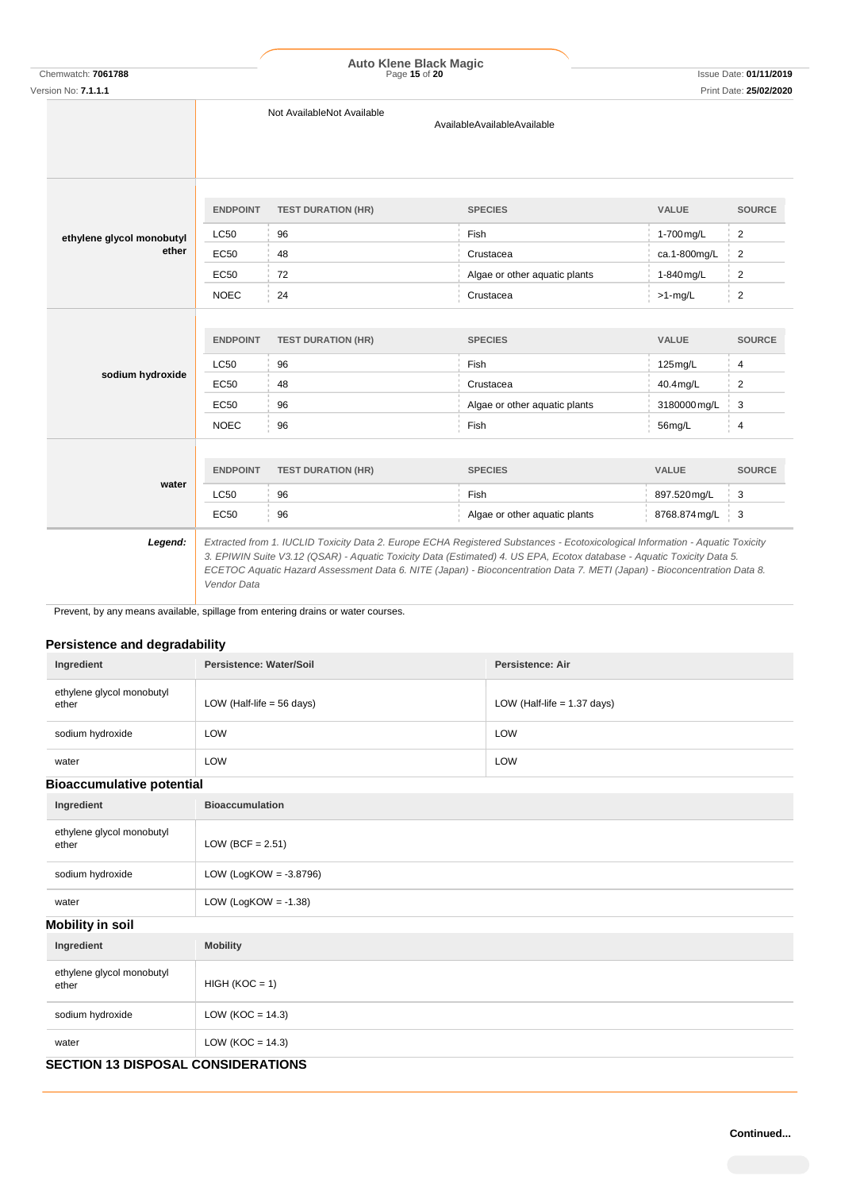Chemwatch: **7061788** Page **15** of **20** Issue Date: **01/11/2019 Auto Klene Black Magic**

|  | Version No: <b>7.1.1.1</b> |                 |                                                                                                                                                                                                                                                                                                                                                                                     |                               |               | Print Date: 25/02/2020 |
|--|----------------------------|-----------------|-------------------------------------------------------------------------------------------------------------------------------------------------------------------------------------------------------------------------------------------------------------------------------------------------------------------------------------------------------------------------------------|-------------------------------|---------------|------------------------|
|  |                            |                 | Not AvailableNot Available<br>AvailableAvailableAvailable                                                                                                                                                                                                                                                                                                                           |                               |               |                        |
|  |                            | <b>ENDPOINT</b> | <b>TEST DURATION (HR)</b>                                                                                                                                                                                                                                                                                                                                                           | <b>SPECIES</b>                | <b>VALUE</b>  | <b>SOURCE</b>          |
|  | ethylene glycol monobutyl  | <b>LC50</b>     | 96                                                                                                                                                                                                                                                                                                                                                                                  | Fish                          | 1-700 mg/L    | $\overline{2}$         |
|  | ether                      | <b>EC50</b>     | 48                                                                                                                                                                                                                                                                                                                                                                                  | Crustacea                     | ca.1-800mg/L  | 2                      |
|  |                            | <b>EC50</b>     | 72                                                                                                                                                                                                                                                                                                                                                                                  | Algae or other aquatic plants | 1-840 mg/L    | 2                      |
|  |                            | <b>NOEC</b>     | 24                                                                                                                                                                                                                                                                                                                                                                                  | Crustacea                     | $>1$ -mg/L    | $\overline{2}$         |
|  | sodium hydroxide           | <b>ENDPOINT</b> | <b>TEST DURATION (HR)</b>                                                                                                                                                                                                                                                                                                                                                           | <b>SPECIES</b>                | <b>VALUE</b>  | <b>SOURCE</b>          |
|  |                            | <b>LC50</b>     | 96                                                                                                                                                                                                                                                                                                                                                                                  | Fish                          | 125mg/L       | 4                      |
|  |                            | EC50            | 48                                                                                                                                                                                                                                                                                                                                                                                  | Crustacea                     | 40.4mg/L      | 2                      |
|  |                            | EC50            | 96                                                                                                                                                                                                                                                                                                                                                                                  | Algae or other aquatic plants | 3180000 mg/L  | 3                      |
|  |                            | <b>NOEC</b>     | 96                                                                                                                                                                                                                                                                                                                                                                                  | Fish                          | 56mg/L        | 4                      |
|  |                            |                 |                                                                                                                                                                                                                                                                                                                                                                                     |                               |               |                        |
|  |                            | <b>ENDPOINT</b> | <b>TEST DURATION (HR)</b>                                                                                                                                                                                                                                                                                                                                                           | <b>SPECIES</b>                | VALUE         | <b>SOURCE</b>          |
|  | water                      | <b>LC50</b>     | 96                                                                                                                                                                                                                                                                                                                                                                                  | Fish                          | 897.520mg/L   | 3                      |
|  |                            | <b>EC50</b>     | 96                                                                                                                                                                                                                                                                                                                                                                                  | Algae or other aquatic plants | 8768.874 mg/L | 3                      |
|  | Legend:                    | Vendor Data     | Extracted from 1. IUCLID Toxicity Data 2. Europe ECHA Registered Substances - Ecotoxicological Information - Aquatic Toxicity<br>3. EPIWIN Suite V3.12 (QSAR) - Aquatic Toxicity Data (Estimated) 4. US EPA, Ecotox database - Aquatic Toxicity Data 5.<br>ECETOC Aquatic Hazard Assessment Data 6. NITE (Japan) - Bioconcentration Data 7. METI (Japan) - Bioconcentration Data 8. |                               |               |                        |

Prevent, by any means available, spillage from entering drains or water courses.

# **Persistence and degradability**

| Ingredient                         | Persistence: Water/Soil     | Persistence: Air              |
|------------------------------------|-----------------------------|-------------------------------|
| ethylene glycol monobutyl<br>ether | LOW (Half-life $=$ 56 days) | LOW (Half-life $= 1.37$ days) |
| sodium hydroxide                   | LOW                         | LOW                           |
| water                              | LOW                         | LOW                           |

## **Bioaccumulative potential**

| Ingredient                         | <b>Bioaccumulation</b>    |  |  |  |
|------------------------------------|---------------------------|--|--|--|
| ethylene glycol monobutyl<br>ether | LOW (BCF = $2.51$ )       |  |  |  |
| sodium hydroxide                   | LOW (LogKOW = $-3.8796$ ) |  |  |  |
| water                              | LOW (LogKOW = $-1.38$ )   |  |  |  |
| <b>Mobility in soil</b>            |                           |  |  |  |
| Ingredient                         | <b>Mobility</b>           |  |  |  |
| ethylene glycol monobutyl<br>ether | $HIGH (KOC = 1)$          |  |  |  |
| sodium hydroxide                   | LOW ( $KOC = 14.3$ )      |  |  |  |
| water                              | LOW ( $KOC = 14.3$ )      |  |  |  |

# **SECTION 13 DISPOSAL CONSIDERATIONS**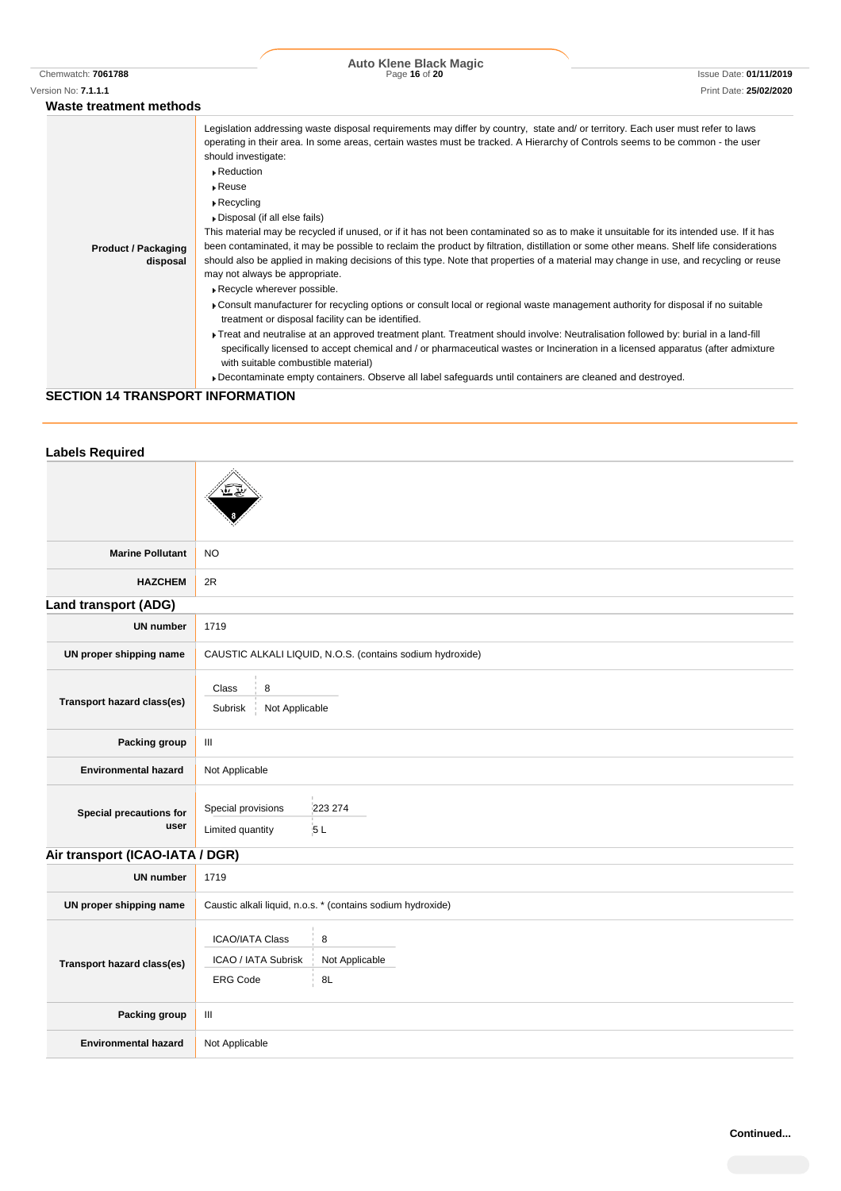|                                        | <b>Auto Klene Black Magic</b>                                                                                                                                                                                                                                                                                                                                                                                                                                                                                                                                                                                                                                                                                                                                                                                                                                                                                                                                                                                                                                                                                                                                                                                                                                                                                                                                                                                                                                                                                                    |                               |  |
|----------------------------------------|----------------------------------------------------------------------------------------------------------------------------------------------------------------------------------------------------------------------------------------------------------------------------------------------------------------------------------------------------------------------------------------------------------------------------------------------------------------------------------------------------------------------------------------------------------------------------------------------------------------------------------------------------------------------------------------------------------------------------------------------------------------------------------------------------------------------------------------------------------------------------------------------------------------------------------------------------------------------------------------------------------------------------------------------------------------------------------------------------------------------------------------------------------------------------------------------------------------------------------------------------------------------------------------------------------------------------------------------------------------------------------------------------------------------------------------------------------------------------------------------------------------------------------|-------------------------------|--|
| Chemwatch: 7061788                     | Page 16 of 20                                                                                                                                                                                                                                                                                                                                                                                                                                                                                                                                                                                                                                                                                                                                                                                                                                                                                                                                                                                                                                                                                                                                                                                                                                                                                                                                                                                                                                                                                                                    | <b>Issue Date: 01/11/2019</b> |  |
| Version No: <b>7.1.1.1</b>             |                                                                                                                                                                                                                                                                                                                                                                                                                                                                                                                                                                                                                                                                                                                                                                                                                                                                                                                                                                                                                                                                                                                                                                                                                                                                                                                                                                                                                                                                                                                                  | Print Date: 25/02/2020        |  |
| Waste treatment methods                |                                                                                                                                                                                                                                                                                                                                                                                                                                                                                                                                                                                                                                                                                                                                                                                                                                                                                                                                                                                                                                                                                                                                                                                                                                                                                                                                                                                                                                                                                                                                  |                               |  |
| <b>Product / Packaging</b><br>disposal | Legislation addressing waste disposal requirements may differ by country, state and/ or territory. Each user must refer to laws<br>operating in their area. In some areas, certain wastes must be tracked. A Hierarchy of Controls seems to be common - the user<br>should investigate:<br>$\triangleright$ Reduction<br>$\triangleright$ Reuse<br>$\triangleright$ Recycling<br>Disposal (if all else fails)<br>This material may be recycled if unused, or if it has not been contaminated so as to make it unsuitable for its intended use. If it has<br>been contaminated, it may be possible to reclaim the product by filtration, distillation or some other means. Shelf life considerations<br>should also be applied in making decisions of this type. Note that properties of a material may change in use, and recycling or reuse<br>may not always be appropriate.<br>Recycle wherever possible.<br>Consult manufacturer for recycling options or consult local or regional waste management authority for disposal if no suitable<br>treatment or disposal facility can be identified.<br>Freat and neutralise at an approved treatment plant. Treatment should involve: Neutralisation followed by: burial in a land-fill<br>specifically licensed to accept chemical and / or pharmaceutical wastes or Incineration in a licensed apparatus (after admixture<br>with suitable combustible material)<br>▶ Decontaminate empty containers. Observe all label safeguards until containers are cleaned and destroyed. |                               |  |

# **SECTION 14 TRANSPORT INFORMATION**

| <b>Labels Required</b>          |                                                                                               |                                                           |  |
|---------------------------------|-----------------------------------------------------------------------------------------------|-----------------------------------------------------------|--|
|                                 |                                                                                               |                                                           |  |
| <b>Marine Pollutant</b>         | NO                                                                                            |                                                           |  |
| <b>HAZCHEM</b>                  | 2R                                                                                            |                                                           |  |
| <b>Land transport (ADG)</b>     |                                                                                               |                                                           |  |
| <b>UN number</b>                | 1719                                                                                          |                                                           |  |
| UN proper shipping name         |                                                                                               | CAUSTIC ALKALI LIQUID, N.O.S. (contains sodium hydroxide) |  |
| Transport hazard class(es)      | Class<br>8<br>Not Applicable<br>Subrisk                                                       |                                                           |  |
| Packing group                   | $\ensuremath{\mathsf{III}}\xspace$                                                            |                                                           |  |
| <b>Environmental hazard</b>     | Not Applicable                                                                                |                                                           |  |
| Special precautions for<br>user | Special provisions<br>Limited quantity                                                        | 223 274<br>5L                                             |  |
| Air transport (ICAO-IATA / DGR) |                                                                                               |                                                           |  |
| <b>UN number</b>                | 1719                                                                                          |                                                           |  |
| UN proper shipping name         | Caustic alkali liquid, n.o.s. * (contains sodium hydroxide)                                   |                                                           |  |
| Transport hazard class(es)      | <b>ICAO/IATA Class</b><br>8<br>Not Applicable<br>ICAO / IATA Subrisk<br><b>ERG Code</b><br>8L |                                                           |  |
| Packing group                   | Ш                                                                                             |                                                           |  |
| <b>Environmental hazard</b>     | Not Applicable                                                                                |                                                           |  |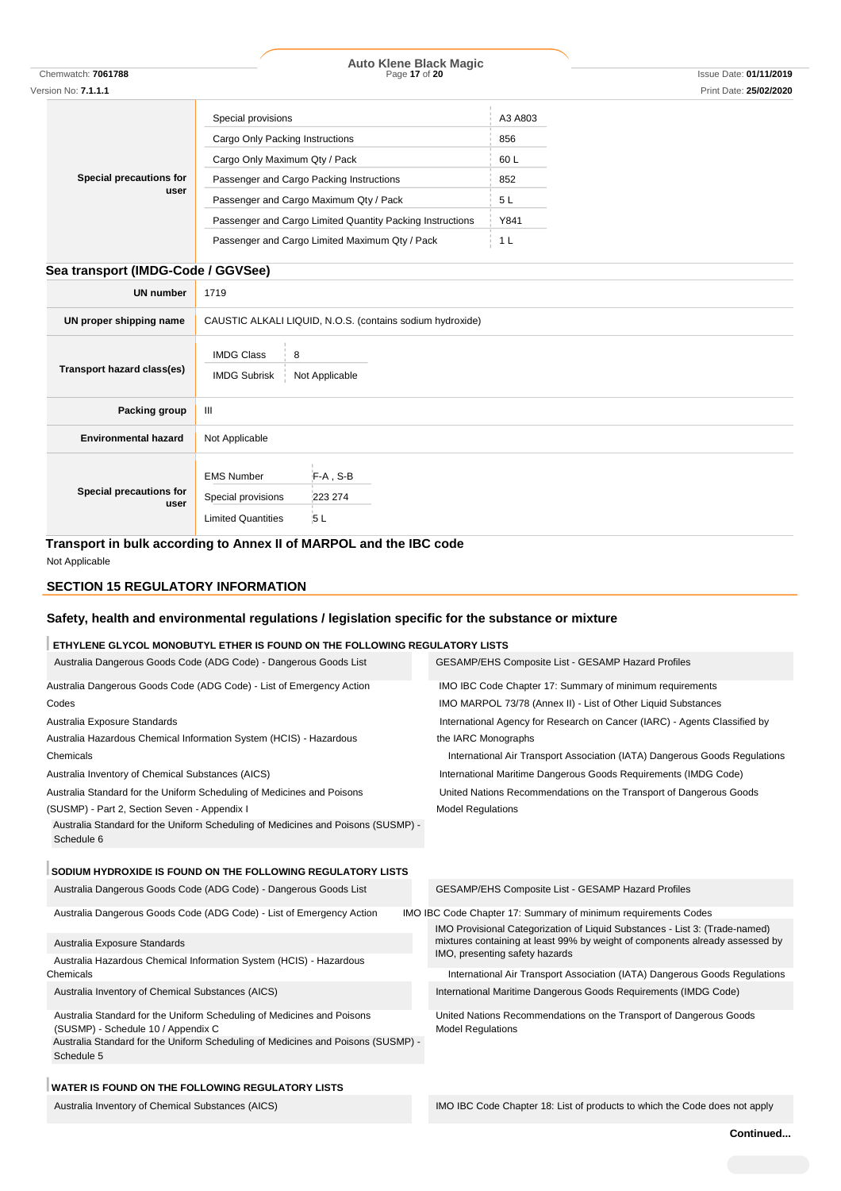| Chemwatch: <b>7061788</b>          |                                               | Page 17 of 20                                             |                | Issue Date: 01/11/2019 |
|------------------------------------|-----------------------------------------------|-----------------------------------------------------------|----------------|------------------------|
| Version No: 7.1.1.1                |                                               |                                                           |                | Print Date: 25/02/2020 |
|                                    | Special provisions                            |                                                           | A3 A803        |                        |
|                                    | Cargo Only Packing Instructions               |                                                           | 856            |                        |
|                                    | Cargo Only Maximum Qty / Pack                 |                                                           | 60 L           |                        |
| Special precautions for            |                                               | Passenger and Cargo Packing Instructions                  | 852            |                        |
| user                               |                                               | Passenger and Cargo Maximum Qty / Pack                    | 5L             |                        |
|                                    |                                               | Passenger and Cargo Limited Quantity Packing Instructions | Y841           |                        |
|                                    |                                               | Passenger and Cargo Limited Maximum Qty / Pack            | 1 <sub>L</sub> |                        |
|                                    |                                               |                                                           |                |                        |
| Sea transport (IMDG-Code / GGVSee) |                                               |                                                           |                |                        |
| <b>UN number</b>                   | 1719                                          |                                                           |                |                        |
| UN proper shipping name            |                                               | CAUSTIC ALKALI LIQUID, N.O.S. (contains sodium hydroxide) |                |                        |
| Transport hazard class(es)         | <b>IMDG Class</b><br>8<br><b>IMDG Subrisk</b> | Not Applicable                                            |                |                        |
| Packing group                      | III                                           |                                                           |                |                        |
| <b>Environmental hazard</b>        | Not Applicable                                |                                                           |                |                        |
| Special precautions for            | <b>EMS Number</b><br>Special provisions       | F-A, S-B<br>223 274                                       |                |                        |
| user                               | <b>Limited Quantities</b>                     | 5L                                                        |                |                        |

**Auto Klene Black Magic**

**Transport in bulk according to Annex II of MARPOL and the IBC code**

Not Applicable

### **SECTION 15 REGULATORY INFORMATION**

# **Safety, health and environmental regulations / legislation specific for the substance or mixture**

## **ETHYLENE GLYCOL MONOBUTYL ETHER IS FOUND ON THE FOLLOWING REGULATORY LISTS**

| Australia Dangerous Goods Code (ADG Code) - Dangerous Goods List                                                                                                                                               | <b>GESAMP/EHS Composite List - GESAMP Hazard Profiles</b>                                                                                                   |
|----------------------------------------------------------------------------------------------------------------------------------------------------------------------------------------------------------------|-------------------------------------------------------------------------------------------------------------------------------------------------------------|
| Australia Dangerous Goods Code (ADG Code) - List of Emergency Action                                                                                                                                           | IMO IBC Code Chapter 17: Summary of minimum requirements                                                                                                    |
| Codes                                                                                                                                                                                                          | IMO MARPOL 73/78 (Annex II) - List of Other Liquid Substances                                                                                               |
| Australia Exposure Standards                                                                                                                                                                                   | International Agency for Research on Cancer (IARC) - Agents Classified by                                                                                   |
| Australia Hazardous Chemical Information System (HCIS) - Hazardous                                                                                                                                             | the IARC Monographs                                                                                                                                         |
| Chemicals                                                                                                                                                                                                      | International Air Transport Association (IATA) Dangerous Goods Regulations                                                                                  |
| Australia Inventory of Chemical Substances (AICS)                                                                                                                                                              | International Maritime Dangerous Goods Requirements (IMDG Code)                                                                                             |
| Australia Standard for the Uniform Scheduling of Medicines and Poisons                                                                                                                                         | United Nations Recommendations on the Transport of Dangerous Goods                                                                                          |
| (SUSMP) - Part 2, Section Seven - Appendix I                                                                                                                                                                   | <b>Model Regulations</b>                                                                                                                                    |
| Australia Standard for the Uniform Scheduling of Medicines and Poisons (SUSMP) -<br>Schedule 6                                                                                                                 |                                                                                                                                                             |
| SODIUM HYDROXIDE IS FOUND ON THE FOLLOWING REGULATORY LISTS                                                                                                                                                    |                                                                                                                                                             |
| Australia Dangerous Goods Code (ADG Code) - Dangerous Goods List                                                                                                                                               | <b>GESAMP/EHS Composite List - GESAMP Hazard Profiles</b>                                                                                                   |
| Australia Dangerous Goods Code (ADG Code) - List of Emergency Action                                                                                                                                           | IMO IBC Code Chapter 17: Summary of minimum requirements Codes                                                                                              |
| Australia Exposure Standards                                                                                                                                                                                   | IMO Provisional Categorization of Liquid Substances - List 3: (Trade-named)<br>mixtures containing at least 99% by weight of components already assessed by |
| Australia Hazardous Chemical Information System (HCIS) - Hazardous                                                                                                                                             | IMO, presenting safety hazards                                                                                                                              |
| Chemicals                                                                                                                                                                                                      | International Air Transport Association (IATA) Dangerous Goods Regulations                                                                                  |
| Australia Inventory of Chemical Substances (AICS)                                                                                                                                                              | International Maritime Dangerous Goods Requirements (IMDG Code)                                                                                             |
| Australia Standard for the Uniform Scheduling of Medicines and Poisons<br>(SUSMP) - Schedule 10 / Appendix C<br>Australia Standard for the Uniform Scheduling of Medicines and Poisons (SUSMP) -<br>Schedule 5 | United Nations Recommendations on the Transport of Dangerous Goods<br><b>Model Regulations</b>                                                              |
| <b>WATER IS FOUND ON THE FOLLOWING REGULATORY LISTS</b>                                                                                                                                                        |                                                                                                                                                             |

Australia Inventory of Chemical Substances (AICS) **IMO IBC Code Chapter 18: List of products to which the Code does not apply**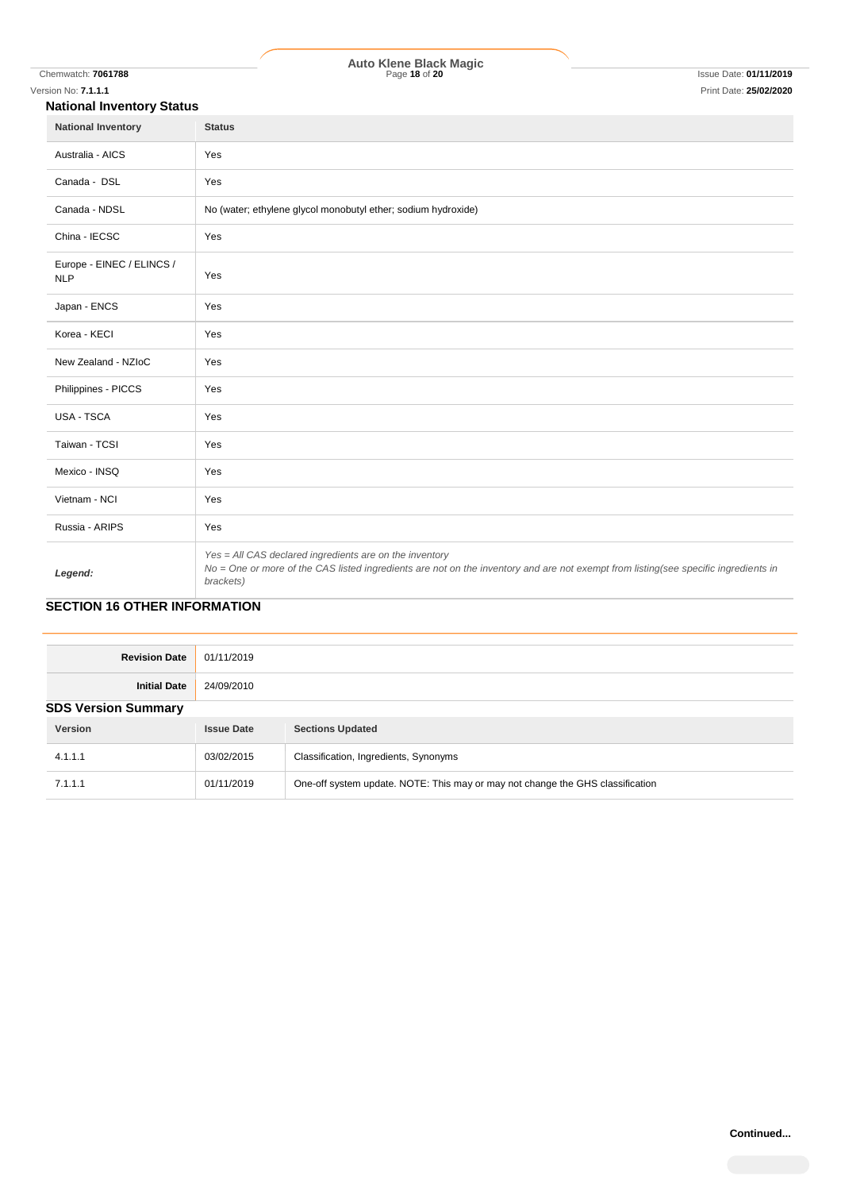#### **National Inventory Status**

| <b>HANDING BIVOINGLY ORIGIN</b>         |                                                                                                                                                                                                             |
|-----------------------------------------|-------------------------------------------------------------------------------------------------------------------------------------------------------------------------------------------------------------|
| <b>National Inventory</b>               | <b>Status</b>                                                                                                                                                                                               |
| Australia - AICS                        | Yes                                                                                                                                                                                                         |
| Canada - DSL                            | Yes                                                                                                                                                                                                         |
| Canada - NDSL                           | No (water; ethylene glycol monobutyl ether; sodium hydroxide)                                                                                                                                               |
| China - IECSC                           | Yes                                                                                                                                                                                                         |
| Europe - EINEC / ELINCS /<br><b>NLP</b> | Yes                                                                                                                                                                                                         |
| Japan - ENCS                            | Yes                                                                                                                                                                                                         |
| Korea - KECI                            | Yes                                                                                                                                                                                                         |
| New Zealand - NZIoC                     | Yes                                                                                                                                                                                                         |
| Philippines - PICCS                     | Yes                                                                                                                                                                                                         |
| <b>USA - TSCA</b>                       | Yes                                                                                                                                                                                                         |
| Taiwan - TCSI                           | Yes                                                                                                                                                                                                         |
| Mexico - INSQ                           | Yes                                                                                                                                                                                                         |
| Vietnam - NCI                           | Yes                                                                                                                                                                                                         |
| Russia - ARIPS                          | Yes                                                                                                                                                                                                         |
| Legend:                                 | Yes = All CAS declared ingredients are on the inventory<br>No = One or more of the CAS listed ingredients are not on the inventory and are not exempt from listing(see specific ingredients in<br>brackets) |

# **SECTION 16 OTHER INFORMATION**

| <b>Revision Date</b>       | 01/11/2019        |                                                                                |
|----------------------------|-------------------|--------------------------------------------------------------------------------|
| <b>Initial Date</b>        | 24/09/2010        |                                                                                |
| <b>SDS Version Summary</b> |                   |                                                                                |
| Version                    | <b>Issue Date</b> | <b>Sections Updated</b>                                                        |
| 4.1.1.1                    | 03/02/2015        | Classification, Ingredients, Synonyms                                          |
| 7.1.1.1                    | 01/11/2019        | One-off system update. NOTE: This may or may not change the GHS classification |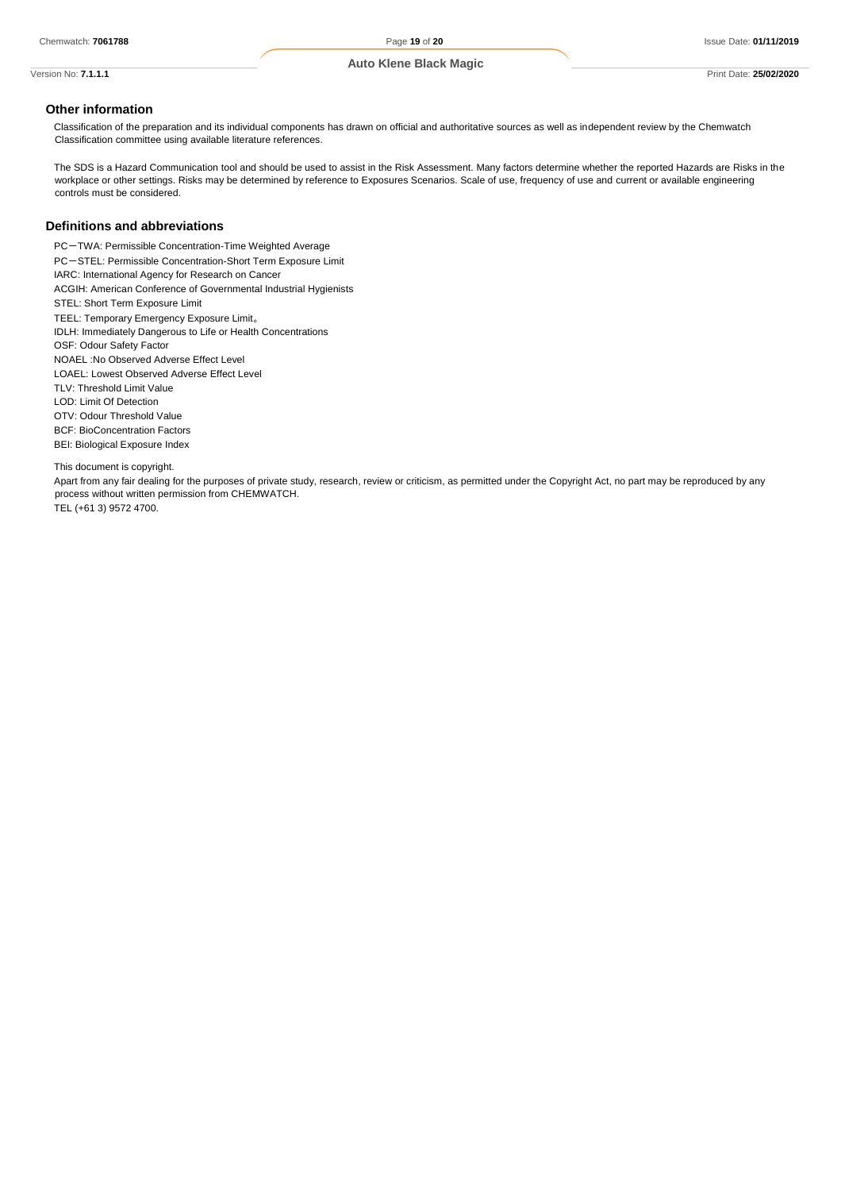# **Other information**

Classification of the preparation and its individual components has drawn on official and authoritative sources as well as independent review by the Chemwatch Classification committee using available literature references.

The SDS is a Hazard Communication tool and should be used to assist in the Risk Assessment. Many factors determine whether the reported Hazards are Risks in the workplace or other settings. Risks may be determined by reference to Exposures Scenarios. Scale of use, frequency of use and current or available engineering controls must be considered.

#### **Definitions and abbreviations**

PC-TWA: Permissible Concentration-Time Weighted Average PC-STEL: Permissible Concentration-Short Term Exposure Limit IARC: International Agency for Research on Cancer ACGIH: American Conference of Governmental Industrial Hygienists STEL: Short Term Exposure Limit TEEL: Temporary Emergency Exposure Limit。 IDLH: Immediately Dangerous to Life or Health Concentrations OSF: Odour Safety Factor NOAEL :No Observed Adverse Effect Level LOAEL: Lowest Observed Adverse Effect Level TLV: Threshold Limit Value LOD: Limit Of Detection OTV: Odour Threshold Value BCF: BioConcentration Factors BEI: Biological Exposure Index

This document is copyright.

Apart from any fair dealing for the purposes of private study, research, review or criticism, as permitted under the Copyright Act, no part may be reproduced by any process without written permission from CHEMWATCH. TEL (+61 3) 9572 4700.